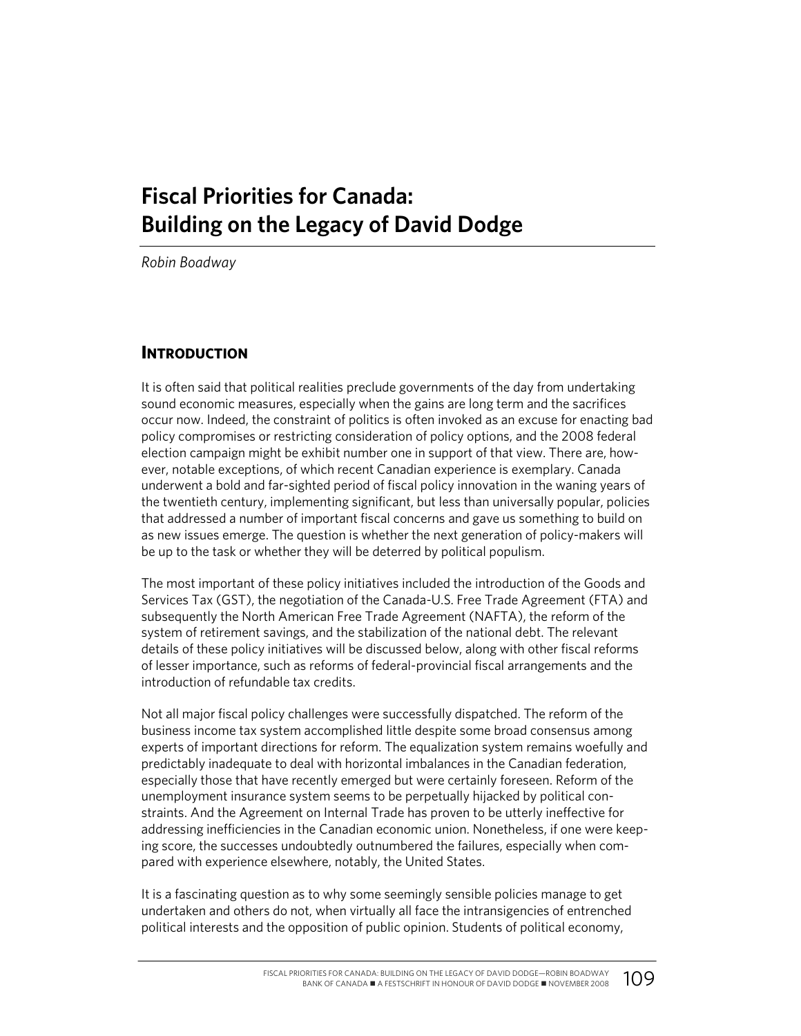# **Fiscal Priorities for Canada: Building on the Legacy of David Dodge**

*Robin Boadway*

### **INTRODUCTION**

It is often said that political realities preclude governments of the day from undertaking sound economic measures, especially when the gains are long term and the sacrifices occur now. Indeed, the constraint of politics is often invoked as an excuse for enacting bad policy compromises or restricting consideration of policy options, and the 2008 federal election campaign might be exhibit number one in support of that view. There are, however, notable exceptions, of which recent Canadian experience is exemplary. Canada underwent a bold and far-sighted period of fiscal policy innovation in the waning years of the twentieth century, implementing significant, but less than universally popular, policies that addressed a number of important fiscal concerns and gave us something to build on as new issues emerge. The question is whether the next generation of policy-makers will be up to the task or whether they will be deterred by political populism.

The most important of these policy initiatives included the introduction of the Goods and Services Tax (GST), the negotiation of the Canada-U.S. Free Trade Agreement (FTA) and subsequently the North American Free Trade Agreement (NAFTA), the reform of the system of retirement savings, and the stabilization of the national debt. The relevant details of these policy initiatives will be discussed below, along with other fiscal reforms of lesser importance, such as reforms of federal-provincial fiscal arrangements and the introduction of refundable tax credits.

Not all major fiscal policy challenges were successfully dispatched. The reform of the business income tax system accomplished little despite some broad consensus among experts of important directions for reform. The equalization system remains woefully and predictably inadequate to deal with horizontal imbalances in the Canadian federation, especially those that have recently emerged but were certainly foreseen. Reform of the unemployment insurance system seems to be perpetually hijacked by political constraints. And the Agreement on Internal Trade has proven to be utterly ineffective for addressing inefficiencies in the Canadian economic union. Nonetheless, if one were keeping score, the successes undoubtedly outnumbered the failures, especially when compared with experience elsewhere, notably, the United States.

It is a fascinating question as to why some seemingly sensible policies manage to get undertaken and others do not, when virtually all face the intransigencies of entrenched political interests and the opposition of public opinion. Students of political economy,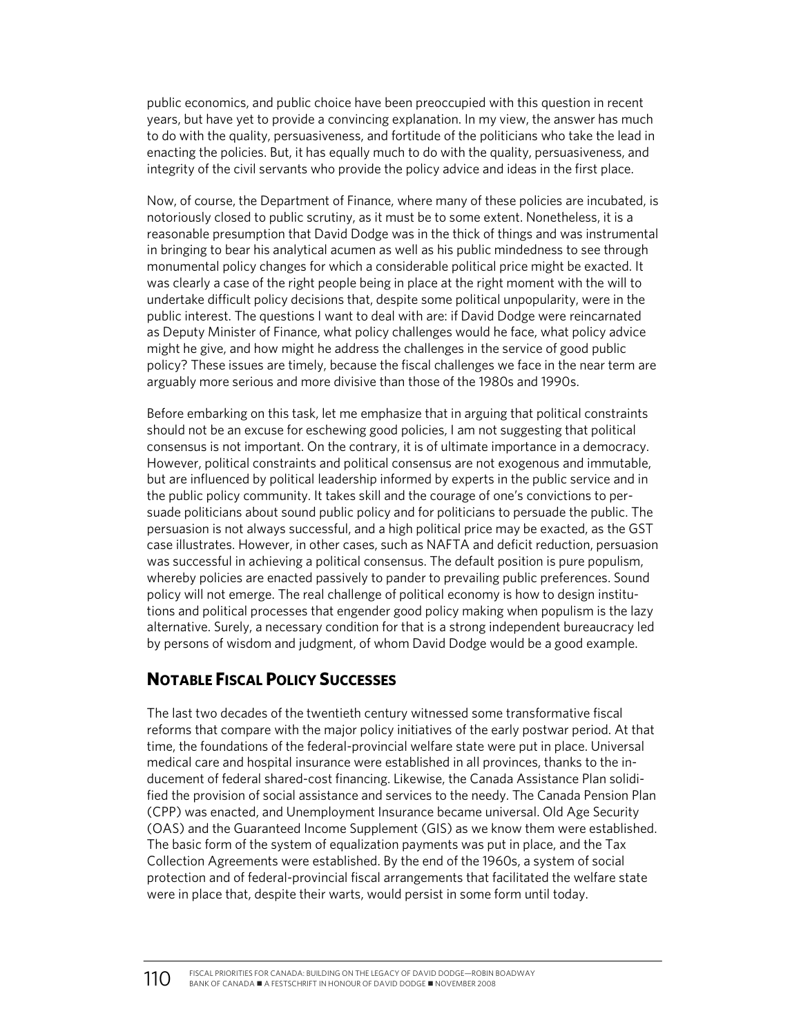public economics, and public choice have been preoccupied with this question in recent years, but have yet to provide a convincing explanation. In my view, the answer has much to do with the quality, persuasiveness, and fortitude of the politicians who take the lead in enacting the policies. But, it has equally much to do with the quality, persuasiveness, and integrity of the civil servants who provide the policy advice and ideas in the first place.

Now, of course, the Department of Finance, where many of these policies are incubated, is notoriously closed to public scrutiny, as it must be to some extent. Nonetheless, it is a reasonable presumption that David Dodge was in the thick of things and was instrumental in bringing to bear his analytical acumen as well as his public mindedness to see through monumental policy changes for which a considerable political price might be exacted. It was clearly a case of the right people being in place at the right moment with the will to undertake difficult policy decisions that, despite some political unpopularity, were in the public interest. The questions I want to deal with are: if David Dodge were reincarnated as Deputy Minister of Finance, what policy challenges would he face, what policy advice might he give, and how might he address the challenges in the service of good public policy? These issues are timely, because the fiscal challenges we face in the near term are arguably more serious and more divisive than those of the 1980s and 1990s.

Before embarking on this task, let me emphasize that in arguing that political constraints should not be an excuse for eschewing good policies, I am not suggesting that political consensus is not important. On the contrary, it is of ultimate importance in a democracy. However, political constraints and political consensus are not exogenous and immutable, but are influenced by political leadership informed by experts in the public service and in the public policy community. It takes skill and the courage of one's convictions to persuade politicians about sound public policy and for politicians to persuade the public. The persuasion is not always successful, and a high political price may be exacted, as the GST case illustrates. However, in other cases, such as NAFTA and deficit reduction, persuasion was successful in achieving a political consensus. The default position is pure populism, whereby policies are enacted passively to pander to prevailing public preferences. Sound policy will not emerge. The real challenge of political economy is how to design institutions and political processes that engender good policy making when populism is the lazy alternative. Surely, a necessary condition for that is a strong independent bureaucracy led by persons of wisdom and judgment, of whom David Dodge would be a good example.

# **NOTABLE FISCAL POLICY SUCCESSES**

The last two decades of the twentieth century witnessed some transformative fiscal reforms that compare with the major policy initiatives of the early postwar period. At that time, the foundations of the federal-provincial welfare state were put in place. Universal medical care and hospital insurance were established in all provinces, thanks to the inducement of federal shared-cost financing. Likewise, the Canada Assistance Plan solidified the provision of social assistance and services to the needy. The Canada Pension Plan (CPP) was enacted, and Unemployment Insurance became universal. Old Age Security (OAS) and the Guaranteed Income Supplement (GIS) as we know them were established. The basic form of the system of equalization payments was put in place, and the Tax Collection Agreements were established. By the end of the 1960s, a system of social protection and of federal-provincial fiscal arrangements that facilitated the welfare state were in place that, despite their warts, would persist in some form until today.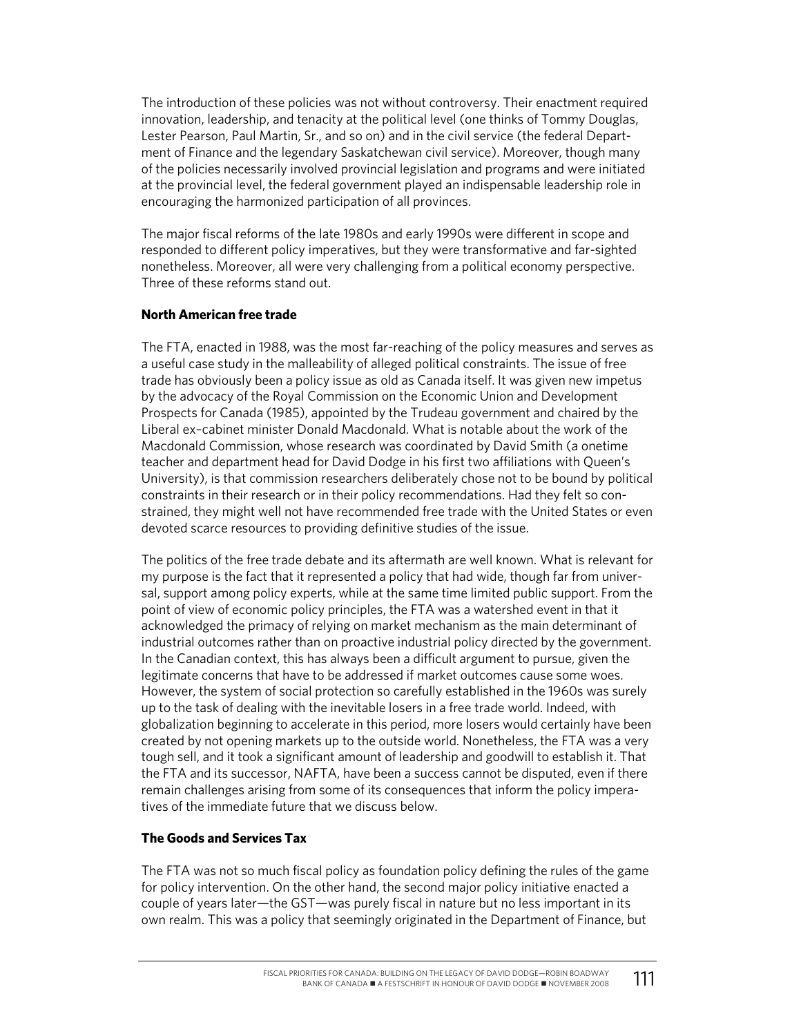The introduction of these policies was not without controversy. Their enactment required innovation, leadership, and tenacity at the political level (one thinks of Tommy Douglas, Lester Pearson, Paul Martin, Sr., and so on) and in the civil service (the federal Department of Finance and the legendary Saskatchewan civil service). Moreover, though many of the policies necessarily involved provincial legislation and programs and were initiated at the provincial level, the federal government played an indispensable leadership role in encouraging the harmonized participation of all provinces.

The major fiscal reforms of the late 1980s and early 1990s were different in scope and responded to different policy imperatives, but they were transformative and far-sighted nonetheless. Moreover, all were very challenging from a political economy perspective. Three of these reforms stand out.

### **North American free trade**

The FTA, enacted in 1988, was the most far-reaching of the policy measures and serves as a useful case study in the malleability of alleged political constraints. The issue of free trade has obviously been a policy issue as old as Canada itself. It was given new impetus by the advocacy of the Royal Commission on the Economic Union and Development Prospects for Canada (1985), appointed by the Trudeau government and chaired by the Liberal ex–cabinet minister Donald Macdonald. What is notable about the work of the Macdonald Commission, whose research was coordinated by David Smith (a onetime teacher and department head for David Dodge in his first two affiliations with Queen's University), is that commission researchers deliberately chose not to be bound by political constraints in their research or in their policy recommendations. Had they felt so constrained, they might well not have recommended free trade with the United States or even devoted scarce resources to providing definitive studies of the issue.

The politics of the free trade debate and its aftermath are well known. What is relevant for my purpose is the fact that it represented a policy that had wide, though far from universal, support among policy experts, while at the same time limited public support. From the point of view of economic policy principles, the FTA was a watershed event in that it acknowledged the primacy of relying on market mechanism as the main determinant of industrial outcomes rather than on proactive industrial policy directed by the government. In the Canadian context, this has always been a difficult argument to pursue, given the legitimate concerns that have to be addressed if market outcomes cause some woes. However, the system of social protection so carefully established in the 1960s was surely up to the task of dealing with the inevitable losers in a free trade world. Indeed, with globalization beginning to accelerate in this period, more losers would certainly have been created by not opening markets up to the outside world. Nonetheless, the FTA was a very tough sell, and it took a significant amount of leadership and goodwill to establish it. That the FTA and its successor, NAFTA, have been a success cannot be disputed, even if there remain challenges arising from some of its consequences that inform the policy imperatives of the immediate future that we discuss below.

### **The Goods and Services Tax**

The FTA was not so much fiscal policy as foundation policy defining the rules of the game for policy intervention. On the other hand, the second major policy initiative enacted a couple of years later—the GST—was purely fiscal in nature but no less important in its own realm. This was a policy that seemingly originated in the Department of Finance, but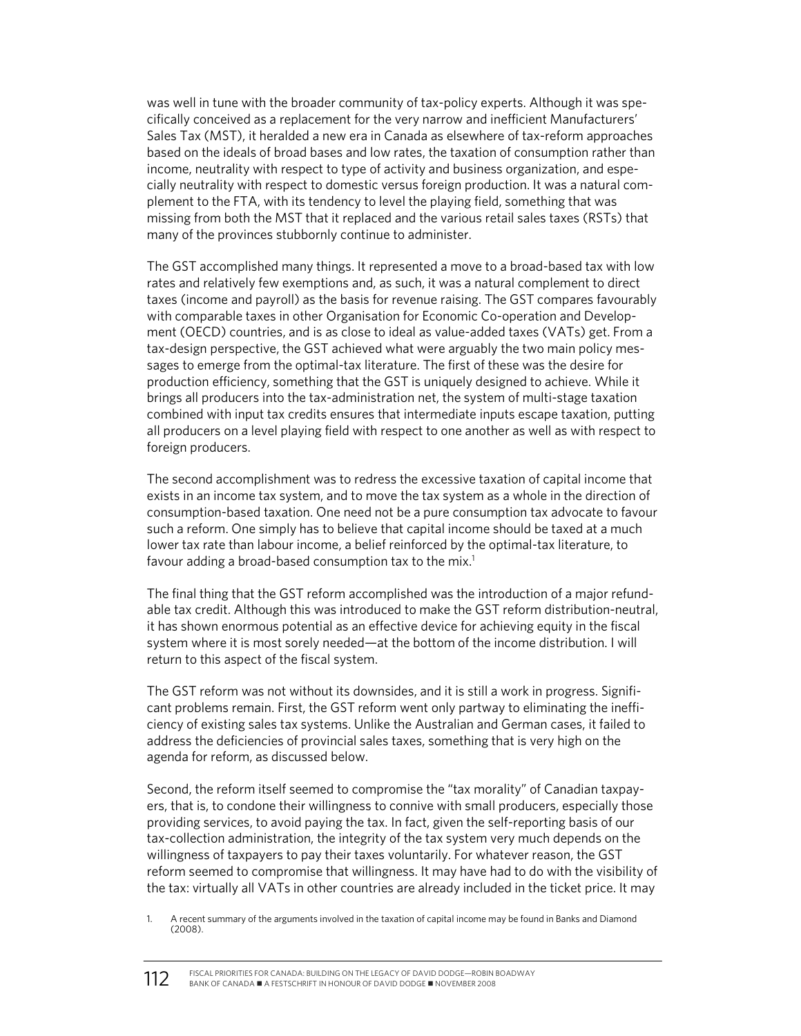was well in tune with the broader community of tax-policy experts. Although it was specifically conceived as a replacement for the very narrow and inefficient Manufacturers' Sales Tax (MST), it heralded a new era in Canada as elsewhere of tax-reform approaches based on the ideals of broad bases and low rates, the taxation of consumption rather than income, neutrality with respect to type of activity and business organization, and especially neutrality with respect to domestic versus foreign production. It was a natural complement to the FTA, with its tendency to level the playing field, something that was missing from both the MST that it replaced and the various retail sales taxes (RSTs) that many of the provinces stubbornly continue to administer.

The GST accomplished many things. It represented a move to a broad-based tax with low rates and relatively few exemptions and, as such, it was a natural complement to direct taxes (income and payroll) as the basis for revenue raising. The GST compares favourably with comparable taxes in other Organisation for Economic Co-operation and Development (OECD) countries, and is as close to ideal as value-added taxes (VATs) get. From a tax-design perspective, the GST achieved what were arguably the two main policy messages to emerge from the optimal-tax literature. The first of these was the desire for production efficiency, something that the GST is uniquely designed to achieve. While it brings all producers into the tax-administration net, the system of multi-stage taxation combined with input tax credits ensures that intermediate inputs escape taxation, putting all producers on a level playing field with respect to one another as well as with respect to foreign producers.

The second accomplishment was to redress the excessive taxation of capital income that exists in an income tax system, and to move the tax system as a whole in the direction of consumption-based taxation. One need not be a pure consumption tax advocate to favour such a reform. One simply has to believe that capital income should be taxed at a much lower tax rate than labour income, a belief reinforced by the optimal-tax literature, to favour adding a broad-based consumption tax to the mix.<sup>1</sup>

The final thing that the GST reform accomplished was the introduction of a major refundable tax credit. Although this was introduced to make the GST reform distribution-neutral, it has shown enormous potential as an effective device for achieving equity in the fiscal system where it is most sorely needed—at the bottom of the income distribution. I will return to this aspect of the fiscal system.

The GST reform was not without its downsides, and it is still a work in progress. Significant problems remain. First, the GST reform went only partway to eliminating the inefficiency of existing sales tax systems. Unlike the Australian and German cases, it failed to address the deficiencies of provincial sales taxes, something that is very high on the agenda for reform, as discussed below.

Second, the reform itself seemed to compromise the "tax morality" of Canadian taxpayers, that is, to condone their willingness to connive with small producers, especially those providing services, to avoid paying the tax. In fact, given the self-reporting basis of our tax-collection administration, the integrity of the tax system very much depends on the willingness of taxpayers to pay their taxes voluntarily. For whatever reason, the GST reform seemed to compromise that willingness. It may have had to do with the visibility of the tax: virtually all VATs in other countries are already included in the ticket price. It may

<sup>1.</sup> A recent summary of the arguments involved in the taxation of capital income may be found in Banks and Diamond (2008).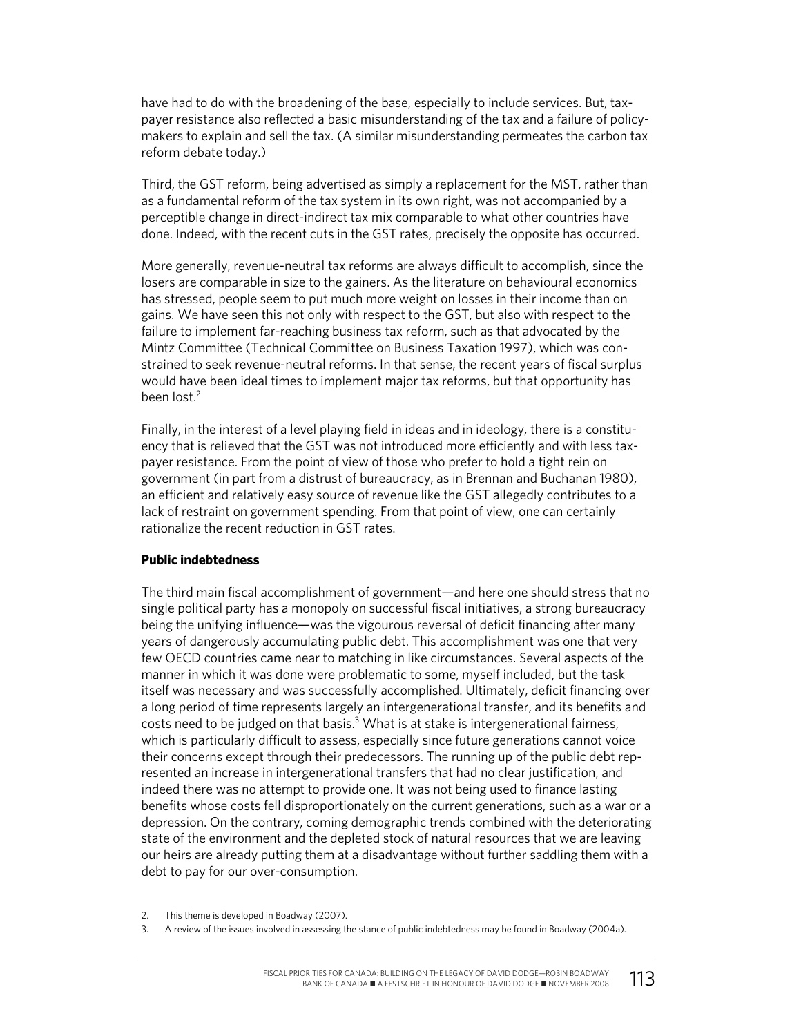have had to do with the broadening of the base, especially to include services. But, taxpayer resistance also reflected a basic misunderstanding of the tax and a failure of policymakers to explain and sell the tax. (A similar misunderstanding permeates the carbon tax reform debate today.)

Third, the GST reform, being advertised as simply a replacement for the MST, rather than as a fundamental reform of the tax system in its own right, was not accompanied by a perceptible change in direct-indirect tax mix comparable to what other countries have done. Indeed, with the recent cuts in the GST rates, precisely the opposite has occurred.

More generally, revenue-neutral tax reforms are always difficult to accomplish, since the losers are comparable in size to the gainers. As the literature on behavioural economics has stressed, people seem to put much more weight on losses in their income than on gains. We have seen this not only with respect to the GST, but also with respect to the failure to implement far-reaching business tax reform, such as that advocated by the Mintz Committee (Technical Committee on Business Taxation 1997), which was constrained to seek revenue-neutral reforms. In that sense, the recent years of fiscal surplus would have been ideal times to implement major tax reforms, but that opportunity has been lost.<sup>2</sup>

Finally, in the interest of a level playing field in ideas and in ideology, there is a constituency that is relieved that the GST was not introduced more efficiently and with less taxpayer resistance. From the point of view of those who prefer to hold a tight rein on government (in part from a distrust of bureaucracy, as in Brennan and Buchanan 1980), an efficient and relatively easy source of revenue like the GST allegedly contributes to a lack of restraint on government spending. From that point of view, one can certainly rationalize the recent reduction in GST rates.

### **Public indebtedness**

The third main fiscal accomplishment of government—and here one should stress that no single political party has a monopoly on successful fiscal initiatives, a strong bureaucracy being the unifying influence—was the vigourous reversal of deficit financing after many years of dangerously accumulating public debt. This accomplishment was one that very few OECD countries came near to matching in like circumstances. Several aspects of the manner in which it was done were problematic to some, myself included, but the task itself was necessary and was successfully accomplished. Ultimately, deficit financing over a long period of time represents largely an intergenerational transfer, and its benefits and costs need to be judged on that basis. $3$  What is at stake is intergenerational fairness, which is particularly difficult to assess, especially since future generations cannot voice their concerns except through their predecessors. The running up of the public debt represented an increase in intergenerational transfers that had no clear justification, and indeed there was no attempt to provide one. It was not being used to finance lasting benefits whose costs fell disproportionately on the current generations, such as a war or a depression. On the contrary, coming demographic trends combined with the deteriorating state of the environment and the depleted stock of natural resources that we are leaving our heirs are already putting them at a disadvantage without further saddling them with a debt to pay for our over-consumption.

<sup>2.</sup> This theme is developed in Boadway (2007).

<sup>3.</sup> A review of the issues involved in assessing the stance of public indebtedness may be found in Boadway (2004a).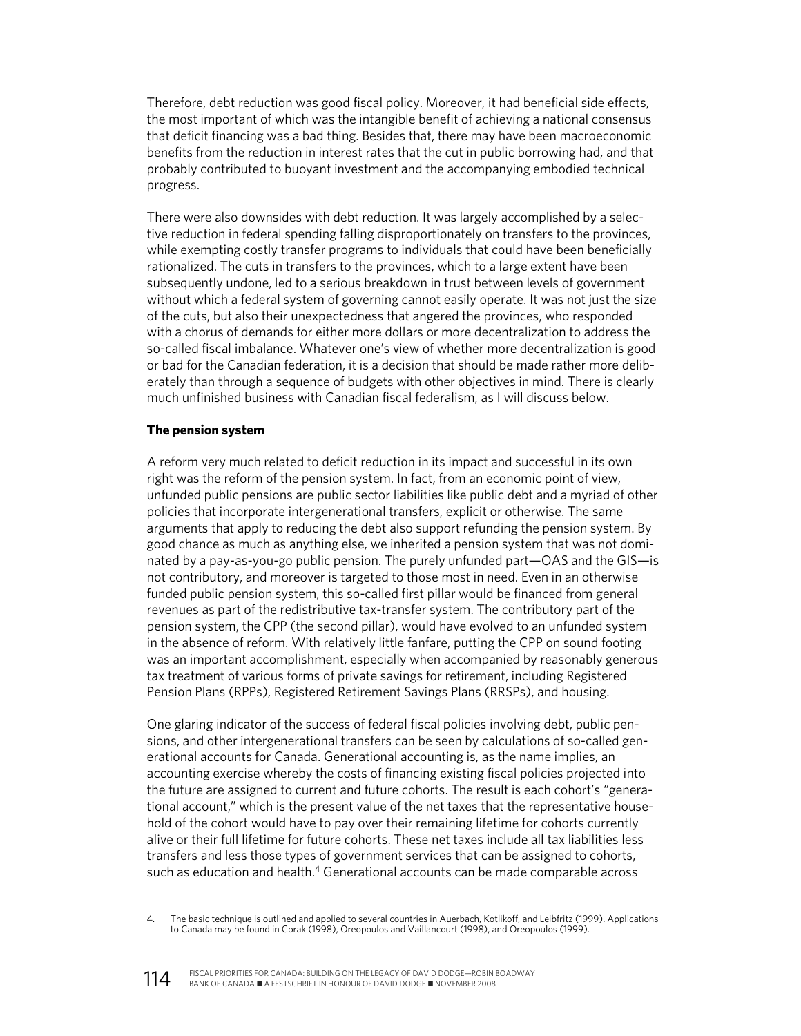Therefore, debt reduction was good fiscal policy. Moreover, it had beneficial side effects, the most important of which was the intangible benefit of achieving a national consensus that deficit financing was a bad thing. Besides that, there may have been macroeconomic benefits from the reduction in interest rates that the cut in public borrowing had, and that probably contributed to buoyant investment and the accompanying embodied technical progress.

There were also downsides with debt reduction. It was largely accomplished by a selective reduction in federal spending falling disproportionately on transfers to the provinces, while exempting costly transfer programs to individuals that could have been beneficially rationalized. The cuts in transfers to the provinces, which to a large extent have been subsequently undone, led to a serious breakdown in trust between levels of government without which a federal system of governing cannot easily operate. It was not just the size of the cuts, but also their unexpectedness that angered the provinces, who responded with a chorus of demands for either more dollars or more decentralization to address the so-called fiscal imbalance. Whatever one's view of whether more decentralization is good or bad for the Canadian federation, it is a decision that should be made rather more deliberately than through a sequence of budgets with other objectives in mind. There is clearly much unfinished business with Canadian fiscal federalism, as I will discuss below.

### **The pension system**

A reform very much related to deficit reduction in its impact and successful in its own right was the reform of the pension system. In fact, from an economic point of view, unfunded public pensions are public sector liabilities like public debt and a myriad of other policies that incorporate intergenerational transfers, explicit or otherwise. The same arguments that apply to reducing the debt also support refunding the pension system. By good chance as much as anything else, we inherited a pension system that was not dominated by a pay-as-you-go public pension. The purely unfunded part—OAS and the GIS—is not contributory, and moreover is targeted to those most in need. Even in an otherwise funded public pension system, this so-called first pillar would be financed from general revenues as part of the redistributive tax-transfer system. The contributory part of the pension system, the CPP (the second pillar), would have evolved to an unfunded system in the absence of reform. With relatively little fanfare, putting the CPP on sound footing was an important accomplishment, especially when accompanied by reasonably generous tax treatment of various forms of private savings for retirement, including Registered Pension Plans (RPPs), Registered Retirement Savings Plans (RRSPs), and housing.

One glaring indicator of the success of federal fiscal policies involving debt, public pensions, and other intergenerational transfers can be seen by calculations of so-called generational accounts for Canada. Generational accounting is, as the name implies, an accounting exercise whereby the costs of financing existing fiscal policies projected into the future are assigned to current and future cohorts. The result is each cohort's "generational account," which is the present value of the net taxes that the representative household of the cohort would have to pay over their remaining lifetime for cohorts currently alive or their full lifetime for future cohorts. These net taxes include all tax liabilities less transfers and less those types of government services that can be assigned to cohorts, such as education and health.<sup>4</sup> Generational accounts can be made comparable across

4. The basic technique is outlined and applied to several countries in Auerbach, Kotlikoff, and Leibfritz (1999). Applications to Canada may be found in Corak (1998), Oreopoulos and Vaillancourt (1998), and Oreopoulos (1999).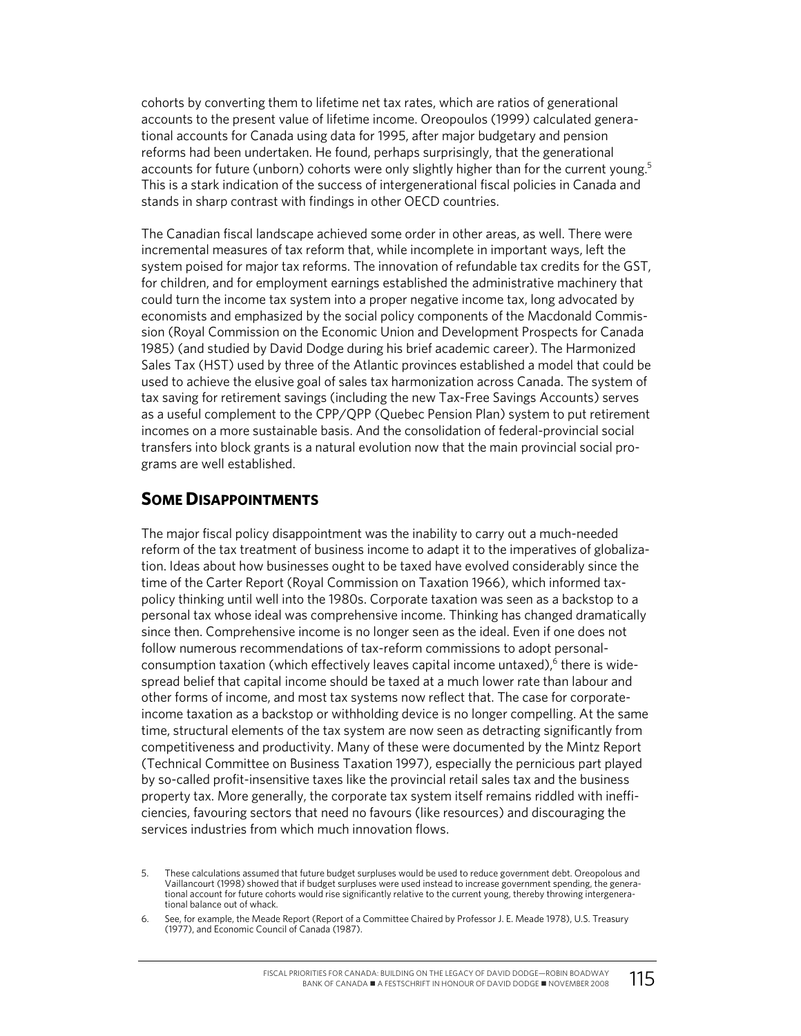cohorts by converting them to lifetime net tax rates, which are ratios of generational accounts to the present value of lifetime income. Oreopoulos (1999) calculated generational accounts for Canada using data for 1995, after major budgetary and pension reforms had been undertaken. He found, perhaps surprisingly, that the generational accounts for future (unborn) cohorts were only slightly higher than for the current young.<sup>5</sup> This is a stark indication of the success of intergenerational fiscal policies in Canada and stands in sharp contrast with findings in other OECD countries.

The Canadian fiscal landscape achieved some order in other areas, as well. There were incremental measures of tax reform that, while incomplete in important ways, left the system poised for major tax reforms. The innovation of refundable tax credits for the GST, for children, and for employment earnings established the administrative machinery that could turn the income tax system into a proper negative income tax, long advocated by economists and emphasized by the social policy components of the Macdonald Commission (Royal Commission on the Economic Union and Development Prospects for Canada 1985) (and studied by David Dodge during his brief academic career). The Harmonized Sales Tax (HST) used by three of the Atlantic provinces established a model that could be used to achieve the elusive goal of sales tax harmonization across Canada. The system of tax saving for retirement savings (including the new Tax-Free Savings Accounts) serves as a useful complement to the CPP/QPP (Quebec Pension Plan) system to put retirement incomes on a more sustainable basis. And the consolidation of federal-provincial social transfers into block grants is a natural evolution now that the main provincial social programs are well established.

### **SOME DISAPPOINTMENTS**

The major fiscal policy disappointment was the inability to carry out a much-needed reform of the tax treatment of business income to adapt it to the imperatives of globalization. Ideas about how businesses ought to be taxed have evolved considerably since the time of the Carter Report (Royal Commission on Taxation 1966), which informed taxpolicy thinking until well into the 1980s. Corporate taxation was seen as a backstop to a personal tax whose ideal was comprehensive income. Thinking has changed dramatically since then. Comprehensive income is no longer seen as the ideal. Even if one does not follow numerous recommendations of tax-reform commissions to adopt personalconsumption taxation (which effectively leaves capital income untaxed), $6$  there is widespread belief that capital income should be taxed at a much lower rate than labour and other forms of income, and most tax systems now reflect that. The case for corporateincome taxation as a backstop or withholding device is no longer compelling. At the same time, structural elements of the tax system are now seen as detracting significantly from competitiveness and productivity. Many of these were documented by the Mintz Report (Technical Committee on Business Taxation 1997), especially the pernicious part played by so-called profit-insensitive taxes like the provincial retail sales tax and the business property tax. More generally, the corporate tax system itself remains riddled with inefficiencies, favouring sectors that need no favours (like resources) and discouraging the services industries from which much innovation flows.

<sup>5.</sup> These calculations assumed that future budget surpluses would be used to reduce government debt. Oreopolous and Vaillancourt (1998) showed that if budget surpluses were used instead to increase government spending, the generational account for future cohorts would rise significantly relative to the current young, thereby throwing intergenerational balance out of whack.

<sup>6.</sup> See, for example, the Meade Report (Report of a Committee Chaired by Professor J. E. Meade 1978), U.S. Treasury (1977), and Economic Council of Canada (1987).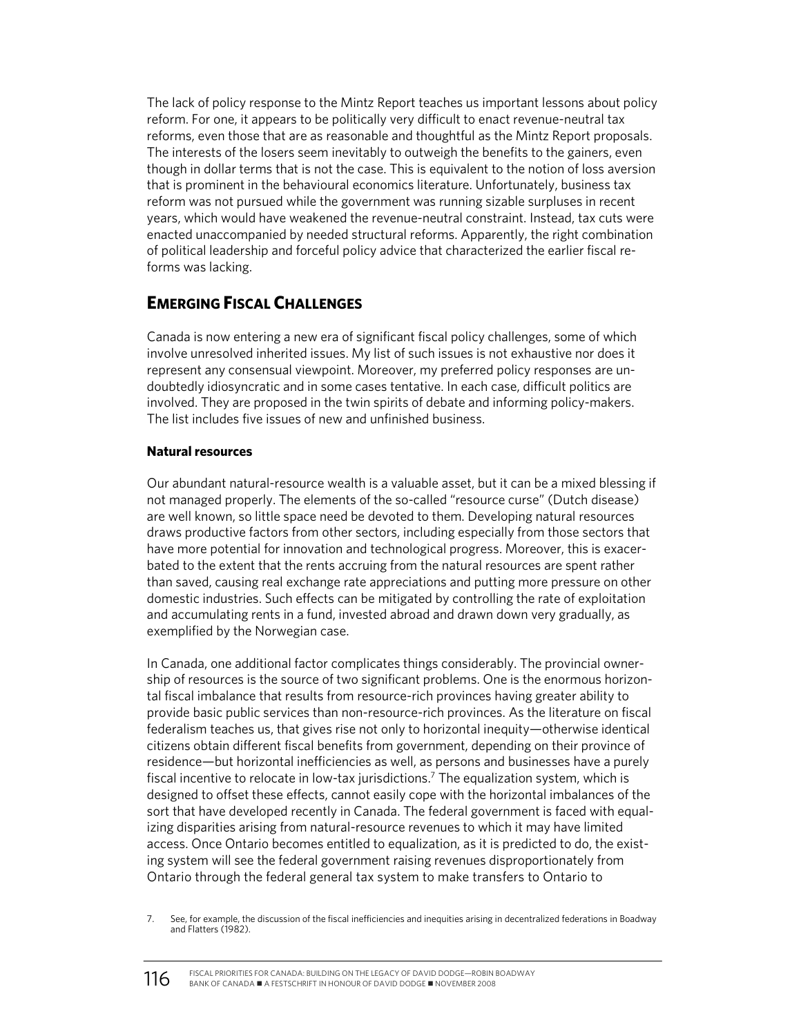The lack of policy response to the Mintz Report teaches us important lessons about policy reform. For one, it appears to be politically very difficult to enact revenue-neutral tax reforms, even those that are as reasonable and thoughtful as the Mintz Report proposals. The interests of the losers seem inevitably to outweigh the benefits to the gainers, even though in dollar terms that is not the case. This is equivalent to the notion of loss aversion that is prominent in the behavioural economics literature. Unfortunately, business tax reform was not pursued while the government was running sizable surpluses in recent years, which would have weakened the revenue-neutral constraint. Instead, tax cuts were enacted unaccompanied by needed structural reforms. Apparently, the right combination of political leadership and forceful policy advice that characterized the earlier fiscal reforms was lacking.

### **EMERGING FISCAL CHALLENGES**

Canada is now entering a new era of significant fiscal policy challenges, some of which involve unresolved inherited issues. My list of such issues is not exhaustive nor does it represent any consensual viewpoint. Moreover, my preferred policy responses are undoubtedly idiosyncratic and in some cases tentative. In each case, difficult politics are involved. They are proposed in the twin spirits of debate and informing policy-makers. The list includes five issues of new and unfinished business.

### **Natural resources**

Our abundant natural-resource wealth is a valuable asset, but it can be a mixed blessing if not managed properly. The elements of the so-called "resource curse" (Dutch disease) are well known, so little space need be devoted to them. Developing natural resources draws productive factors from other sectors, including especially from those sectors that have more potential for innovation and technological progress. Moreover, this is exacerbated to the extent that the rents accruing from the natural resources are spent rather than saved, causing real exchange rate appreciations and putting more pressure on other domestic industries. Such effects can be mitigated by controlling the rate of exploitation and accumulating rents in a fund, invested abroad and drawn down very gradually, as exemplified by the Norwegian case.

In Canada, one additional factor complicates things considerably. The provincial ownership of resources is the source of two significant problems. One is the enormous horizontal fiscal imbalance that results from resource-rich provinces having greater ability to provide basic public services than non-resource-rich provinces. As the literature on fiscal federalism teaches us, that gives rise not only to horizontal inequity—otherwise identical citizens obtain different fiscal benefits from government, depending on their province of residence—but horizontal inefficiencies as well, as persons and businesses have a purely fiscal incentive to relocate in low-tax jurisdictions.7 The equalization system, which is designed to offset these effects, cannot easily cope with the horizontal imbalances of the sort that have developed recently in Canada. The federal government is faced with equalizing disparities arising from natural-resource revenues to which it may have limited access. Once Ontario becomes entitled to equalization, as it is predicted to do, the existing system will see the federal government raising revenues disproportionately from Ontario through the federal general tax system to make transfers to Ontario to

<sup>7.</sup> See, for example, the discussion of the fiscal inefficiencies and inequities arising in decentralized federations in Boadway and Flatters (1982).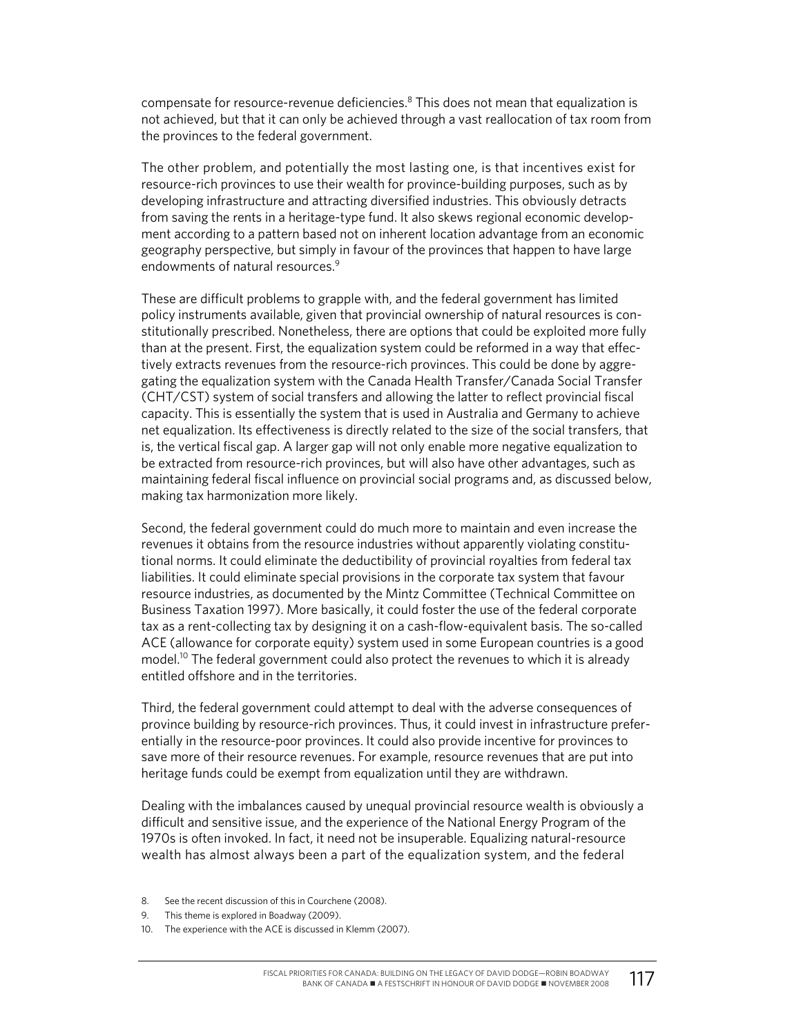compensate for resource-revenue deficiencies.<sup>8</sup> This does not mean that equalization is not achieved, but that it can only be achieved through a vast reallocation of tax room from the provinces to the federal government.

The other problem, and potentially the most lasting one, is that incentives exist for resource-rich provinces to use their wealth for province-building purposes, such as by developing infrastructure and attracting diversified industries. This obviously detracts from saving the rents in a heritage-type fund. It also skews regional economic development according to a pattern based not on inherent location advantage from an economic geography perspective, but simply in favour of the provinces that happen to have large endowments of natural resources.<sup>9</sup>

These are difficult problems to grapple with, and the federal government has limited policy instruments available, given that provincial ownership of natural resources is constitutionally prescribed. Nonetheless, there are options that could be exploited more fully than at the present. First, the equalization system could be reformed in a way that effectively extracts revenues from the resource-rich provinces. This could be done by aggregating the equalization system with the Canada Health Transfer/Canada Social Transfer (CHT/CST) system of social transfers and allowing the latter to reflect provincial fiscal capacity. This is essentially the system that is used in Australia and Germany to achieve net equalization. Its effectiveness is directly related to the size of the social transfers, that is, the vertical fiscal gap. A larger gap will not only enable more negative equalization to be extracted from resource-rich provinces, but will also have other advantages, such as maintaining federal fiscal influence on provincial social programs and, as discussed below, making tax harmonization more likely.

Second, the federal government could do much more to maintain and even increase the revenues it obtains from the resource industries without apparently violating constitutional norms. It could eliminate the deductibility of provincial royalties from federal tax liabilities. It could eliminate special provisions in the corporate tax system that favour resource industries, as documented by the Mintz Committee (Technical Committee on Business Taxation 1997). More basically, it could foster the use of the federal corporate tax as a rent-collecting tax by designing it on a cash-flow-equivalent basis. The so-called ACE (allowance for corporate equity) system used in some European countries is a good model.<sup>10</sup> The federal government could also protect the revenues to which it is already entitled offshore and in the territories.

Third, the federal government could attempt to deal with the adverse consequences of province building by resource-rich provinces. Thus, it could invest in infrastructure preferentially in the resource-poor provinces. It could also provide incentive for provinces to save more of their resource revenues. For example, resource revenues that are put into heritage funds could be exempt from equalization until they are withdrawn.

Dealing with the imbalances caused by unequal provincial resource wealth is obviously a difficult and sensitive issue, and the experience of the National Energy Program of the 1970s is often invoked. In fact, it need not be insuperable. Equalizing natural-resource wealth has almost always been a part of the equalization system, and the federal

- 8. See the recent discussion of this in Courchene (2008).
- 9. This theme is explored in Boadway (2009).
- 10. The experience with the ACE is discussed in Klemm (2007).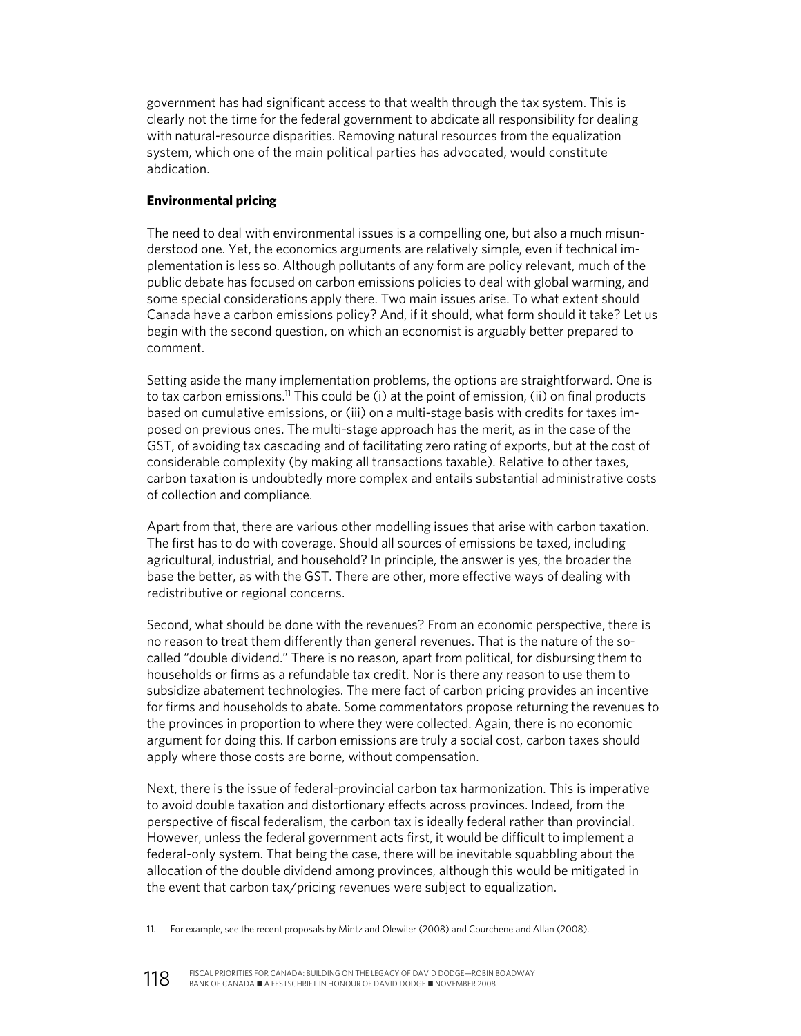government has had significant access to that wealth through the tax system. This is clearly not the time for the federal government to abdicate all responsibility for dealing with natural-resource disparities. Removing natural resources from the equalization system, which one of the main political parties has advocated, would constitute abdication.

### **Environmental pricing**

The need to deal with environmental issues is a compelling one, but also a much misunderstood one. Yet, the economics arguments are relatively simple, even if technical implementation is less so. Although pollutants of any form are policy relevant, much of the public debate has focused on carbon emissions policies to deal with global warming, and some special considerations apply there. Two main issues arise. To what extent should Canada have a carbon emissions policy? And, if it should, what form should it take? Let us begin with the second question, on which an economist is arguably better prepared to comment.

Setting aside the many implementation problems, the options are straightforward. One is to tax carbon emissions.<sup>11</sup> This could be (i) at the point of emission, (ii) on final products based on cumulative emissions, or (iii) on a multi-stage basis with credits for taxes imposed on previous ones. The multi-stage approach has the merit, as in the case of the GST, of avoiding tax cascading and of facilitating zero rating of exports, but at the cost of considerable complexity (by making all transactions taxable). Relative to other taxes, carbon taxation is undoubtedly more complex and entails substantial administrative costs of collection and compliance.

Apart from that, there are various other modelling issues that arise with carbon taxation. The first has to do with coverage. Should all sources of emissions be taxed, including agricultural, industrial, and household? In principle, the answer is yes, the broader the base the better, as with the GST. There are other, more effective ways of dealing with redistributive or regional concerns.

Second, what should be done with the revenues? From an economic perspective, there is no reason to treat them differently than general revenues. That is the nature of the socalled "double dividend." There is no reason, apart from political, for disbursing them to households or firms as a refundable tax credit. Nor is there any reason to use them to subsidize abatement technologies. The mere fact of carbon pricing provides an incentive for firms and households to abate. Some commentators propose returning the revenues to the provinces in proportion to where they were collected. Again, there is no economic argument for doing this. If carbon emissions are truly a social cost, carbon taxes should apply where those costs are borne, without compensation.

Next, there is the issue of federal-provincial carbon tax harmonization. This is imperative to avoid double taxation and distortionary effects across provinces. Indeed, from the perspective of fiscal federalism, the carbon tax is ideally federal rather than provincial. However, unless the federal government acts first, it would be difficult to implement a federal-only system. That being the case, there will be inevitable squabbling about the allocation of the double dividend among provinces, although this would be mitigated in the event that carbon tax/pricing revenues were subject to equalization.

11. For example, see the recent proposals by Mintz and Olewiler (2008) and Courchene and Allan (2008).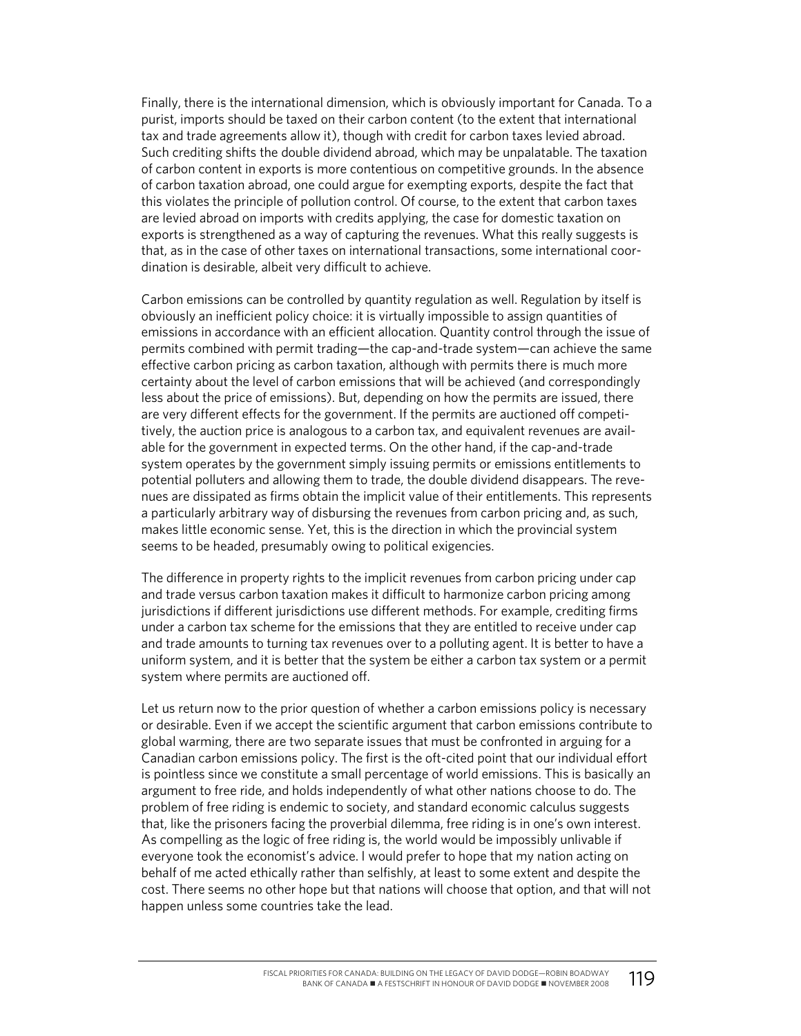Finally, there is the international dimension, which is obviously important for Canada. To a purist, imports should be taxed on their carbon content (to the extent that international tax and trade agreements allow it), though with credit for carbon taxes levied abroad. Such crediting shifts the double dividend abroad, which may be unpalatable. The taxation of carbon content in exports is more contentious on competitive grounds. In the absence of carbon taxation abroad, one could argue for exempting exports, despite the fact that this violates the principle of pollution control. Of course, to the extent that carbon taxes are levied abroad on imports with credits applying, the case for domestic taxation on exports is strengthened as a way of capturing the revenues. What this really suggests is that, as in the case of other taxes on international transactions, some international coordination is desirable, albeit very difficult to achieve.

Carbon emissions can be controlled by quantity regulation as well. Regulation by itself is obviously an inefficient policy choice: it is virtually impossible to assign quantities of emissions in accordance with an efficient allocation. Quantity control through the issue of permits combined with permit trading—the cap-and-trade system—can achieve the same effective carbon pricing as carbon taxation, although with permits there is much more certainty about the level of carbon emissions that will be achieved (and correspondingly less about the price of emissions). But, depending on how the permits are issued, there are very different effects for the government. If the permits are auctioned off competitively, the auction price is analogous to a carbon tax, and equivalent revenues are available for the government in expected terms. On the other hand, if the cap-and-trade system operates by the government simply issuing permits or emissions entitlements to potential polluters and allowing them to trade, the double dividend disappears. The revenues are dissipated as firms obtain the implicit value of their entitlements. This represents a particularly arbitrary way of disbursing the revenues from carbon pricing and, as such, makes little economic sense. Yet, this is the direction in which the provincial system seems to be headed, presumably owing to political exigencies.

The difference in property rights to the implicit revenues from carbon pricing under cap and trade versus carbon taxation makes it difficult to harmonize carbon pricing among jurisdictions if different jurisdictions use different methods. For example, crediting firms under a carbon tax scheme for the emissions that they are entitled to receive under cap and trade amounts to turning tax revenues over to a polluting agent. It is better to have a uniform system, and it is better that the system be either a carbon tax system or a permit system where permits are auctioned off.

Let us return now to the prior question of whether a carbon emissions policy is necessary or desirable. Even if we accept the scientific argument that carbon emissions contribute to global warming, there are two separate issues that must be confronted in arguing for a Canadian carbon emissions policy. The first is the oft-cited point that our individual effort is pointless since we constitute a small percentage of world emissions. This is basically an argument to free ride, and holds independently of what other nations choose to do. The problem of free riding is endemic to society, and standard economic calculus suggests that, like the prisoners facing the proverbial dilemma, free riding is in one's own interest. As compelling as the logic of free riding is, the world would be impossibly unlivable if everyone took the economist's advice. I would prefer to hope that my nation acting on behalf of me acted ethically rather than selfishly, at least to some extent and despite the cost. There seems no other hope but that nations will choose that option, and that will not happen unless some countries take the lead.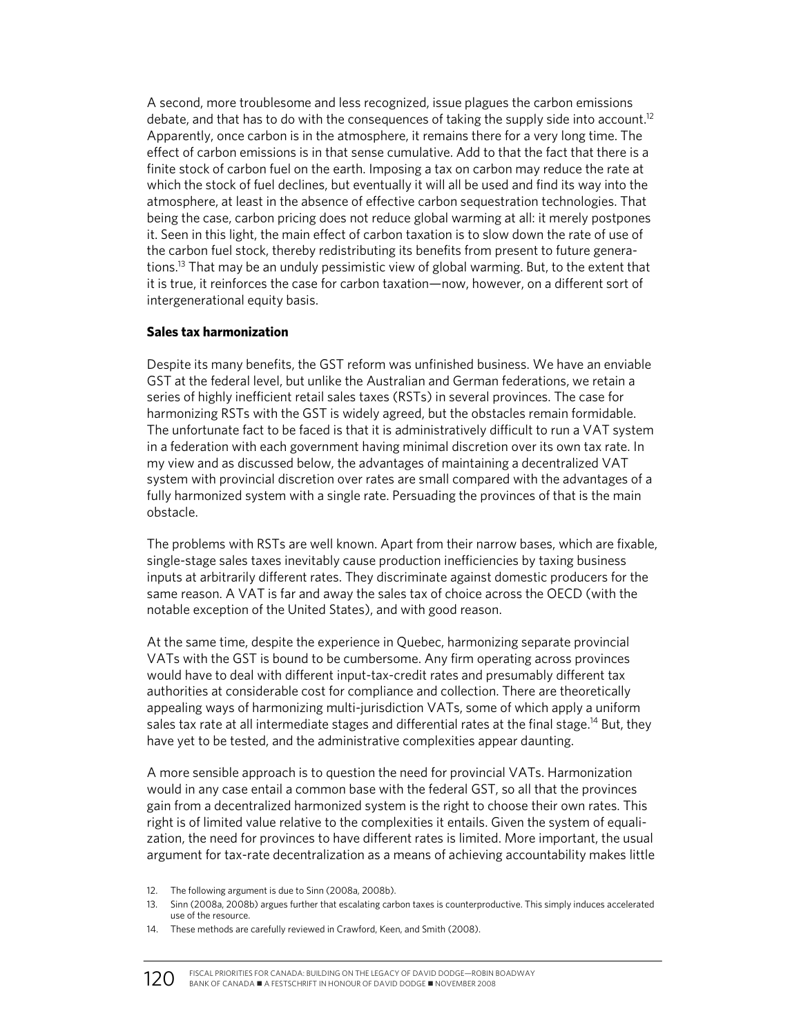A second, more troublesome and less recognized, issue plagues the carbon emissions debate, and that has to do with the consequences of taking the supply side into account.<sup>12</sup> Apparently, once carbon is in the atmosphere, it remains there for a very long time. The effect of carbon emissions is in that sense cumulative. Add to that the fact that there is a finite stock of carbon fuel on the earth. Imposing a tax on carbon may reduce the rate at which the stock of fuel declines, but eventually it will all be used and find its way into the atmosphere, at least in the absence of effective carbon sequestration technologies. That being the case, carbon pricing does not reduce global warming at all: it merely postpones it. Seen in this light, the main effect of carbon taxation is to slow down the rate of use of the carbon fuel stock, thereby redistributing its benefits from present to future generations.<sup>13</sup> That may be an unduly pessimistic view of global warming. But, to the extent that it is true, it reinforces the case for carbon taxation—now, however, on a different sort of intergenerational equity basis.

### **Sales tax harmonization**

Despite its many benefits, the GST reform was unfinished business. We have an enviable GST at the federal level, but unlike the Australian and German federations, we retain a series of highly inefficient retail sales taxes (RSTs) in several provinces. The case for harmonizing RSTs with the GST is widely agreed, but the obstacles remain formidable. The unfortunate fact to be faced is that it is administratively difficult to run a VAT system in a federation with each government having minimal discretion over its own tax rate. In my view and as discussed below, the advantages of maintaining a decentralized VAT system with provincial discretion over rates are small compared with the advantages of a fully harmonized system with a single rate. Persuading the provinces of that is the main obstacle.

The problems with RSTs are well known. Apart from their narrow bases, which are fixable, single-stage sales taxes inevitably cause production inefficiencies by taxing business inputs at arbitrarily different rates. They discriminate against domestic producers for the same reason. A VAT is far and away the sales tax of choice across the OECD (with the notable exception of the United States), and with good reason.

At the same time, despite the experience in Quebec, harmonizing separate provincial VATs with the GST is bound to be cumbersome. Any firm operating across provinces would have to deal with different input-tax-credit rates and presumably different tax authorities at considerable cost for compliance and collection. There are theoretically appealing ways of harmonizing multi-jurisdiction VATs, some of which apply a uniform sales tax rate at all intermediate stages and differential rates at the final stage.<sup>14</sup> But, they have yet to be tested, and the administrative complexities appear daunting.

A more sensible approach is to question the need for provincial VATs. Harmonization would in any case entail a common base with the federal GST, so all that the provinces gain from a decentralized harmonized system is the right to choose their own rates. This right is of limited value relative to the complexities it entails. Given the system of equalization, the need for provinces to have different rates is limited. More important, the usual argument for tax-rate decentralization as a means of achieving accountability makes little

- 12. The following argument is due to Sinn (2008a, 2008b).
- 13. Sinn (2008a, 2008b) argues further that escalating carbon taxes is counterproductive. This simply induces accelerated use of the resource.
- 14. These methods are carefully reviewed in Crawford, Keen, and Smith (2008).

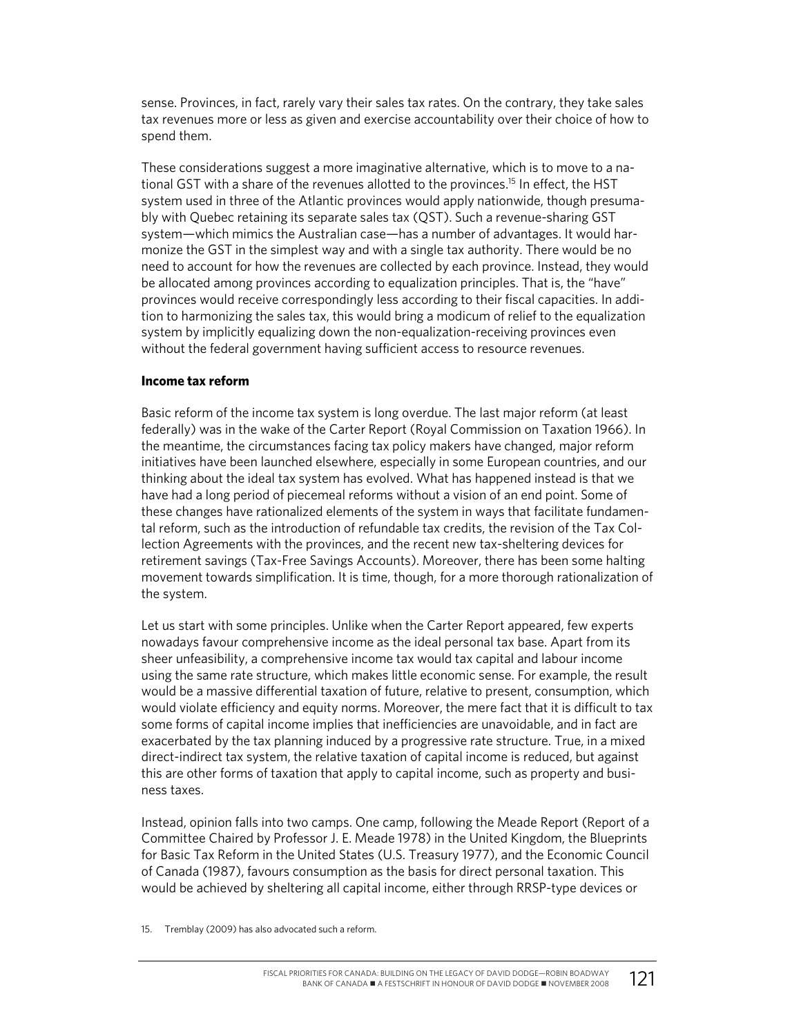sense. Provinces, in fact, rarely vary their sales tax rates. On the contrary, they take sales tax revenues more or less as given and exercise accountability over their choice of how to spend them.

These considerations suggest a more imaginative alternative, which is to move to a national GST with a share of the revenues allotted to the provinces.<sup>15</sup> In effect, the HST system used in three of the Atlantic provinces would apply nationwide, though presumably with Quebec retaining its separate sales tax (QST). Such a revenue-sharing GST system—which mimics the Australian case—has a number of advantages. It would harmonize the GST in the simplest way and with a single tax authority. There would be no need to account for how the revenues are collected by each province. Instead, they would be allocated among provinces according to equalization principles. That is, the "have" provinces would receive correspondingly less according to their fiscal capacities. In addition to harmonizing the sales tax, this would bring a modicum of relief to the equalization system by implicitly equalizing down the non-equalization-receiving provinces even without the federal government having sufficient access to resource revenues.

#### **Income tax reform**

Basic reform of the income tax system is long overdue. The last major reform (at least federally) was in the wake of the Carter Report (Royal Commission on Taxation 1966). In the meantime, the circumstances facing tax policy makers have changed, major reform initiatives have been launched elsewhere, especially in some European countries, and our thinking about the ideal tax system has evolved. What has happened instead is that we have had a long period of piecemeal reforms without a vision of an end point. Some of these changes have rationalized elements of the system in ways that facilitate fundamental reform, such as the introduction of refundable tax credits, the revision of the Tax Collection Agreements with the provinces, and the recent new tax-sheltering devices for retirement savings (Tax-Free Savings Accounts). Moreover, there has been some halting movement towards simplification. It is time, though, for a more thorough rationalization of the system.

Let us start with some principles. Unlike when the Carter Report appeared, few experts nowadays favour comprehensive income as the ideal personal tax base. Apart from its sheer unfeasibility, a comprehensive income tax would tax capital and labour income using the same rate structure, which makes little economic sense. For example, the result would be a massive differential taxation of future, relative to present, consumption, which would violate efficiency and equity norms. Moreover, the mere fact that it is difficult to tax some forms of capital income implies that inefficiencies are unavoidable, and in fact are exacerbated by the tax planning induced by a progressive rate structure. True, in a mixed direct-indirect tax system, the relative taxation of capital income is reduced, but against this are other forms of taxation that apply to capital income, such as property and business taxes.

Instead, opinion falls into two camps. One camp, following the Meade Report (Report of a Committee Chaired by Professor J. E. Meade 1978) in the United Kingdom, the Blueprints for Basic Tax Reform in the United States (U.S. Treasury 1977), and the Economic Council of Canada (1987), favours consumption as the basis for direct personal taxation. This would be achieved by sheltering all capital income, either through RRSP-type devices or

15. Tremblay (2009) has also advocated such a reform.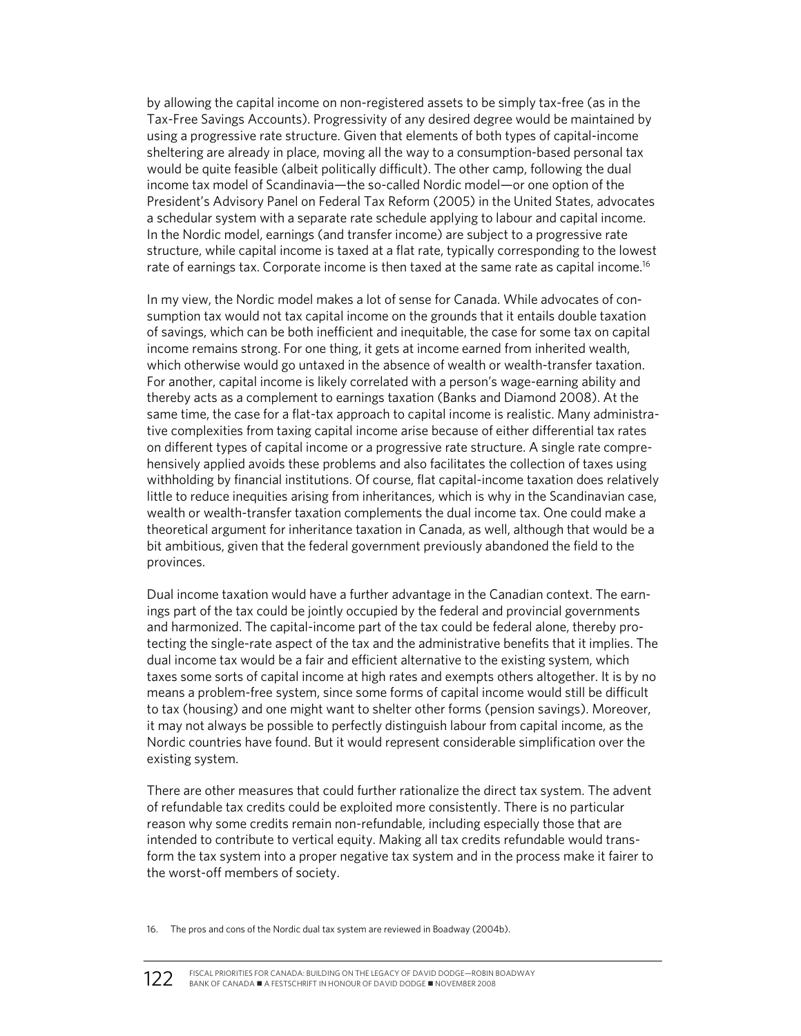by allowing the capital income on non-registered assets to be simply tax-free (as in the Tax-Free Savings Accounts). Progressivity of any desired degree would be maintained by using a progressive rate structure. Given that elements of both types of capital-income sheltering are already in place, moving all the way to a consumption-based personal tax would be quite feasible (albeit politically difficult). The other camp, following the dual income tax model of Scandinavia—the so-called Nordic model—or one option of the President's Advisory Panel on Federal Tax Reform (2005) in the United States, advocates a schedular system with a separate rate schedule applying to labour and capital income. In the Nordic model, earnings (and transfer income) are subject to a progressive rate structure, while capital income is taxed at a flat rate, typically corresponding to the lowest rate of earnings tax. Corporate income is then taxed at the same rate as capital income.<sup>16</sup>

In my view, the Nordic model makes a lot of sense for Canada. While advocates of consumption tax would not tax capital income on the grounds that it entails double taxation of savings, which can be both inefficient and inequitable, the case for some tax on capital income remains strong. For one thing, it gets at income earned from inherited wealth, which otherwise would go untaxed in the absence of wealth or wealth-transfer taxation. For another, capital income is likely correlated with a person's wage-earning ability and thereby acts as a complement to earnings taxation (Banks and Diamond 2008). At the same time, the case for a flat-tax approach to capital income is realistic. Many administrative complexities from taxing capital income arise because of either differential tax rates on different types of capital income or a progressive rate structure. A single rate comprehensively applied avoids these problems and also facilitates the collection of taxes using withholding by financial institutions. Of course, flat capital-income taxation does relatively little to reduce inequities arising from inheritances, which is why in the Scandinavian case, wealth or wealth-transfer taxation complements the dual income tax. One could make a theoretical argument for inheritance taxation in Canada, as well, although that would be a bit ambitious, given that the federal government previously abandoned the field to the provinces.

Dual income taxation would have a further advantage in the Canadian context. The earnings part of the tax could be jointly occupied by the federal and provincial governments and harmonized. The capital-income part of the tax could be federal alone, thereby protecting the single-rate aspect of the tax and the administrative benefits that it implies. The dual income tax would be a fair and efficient alternative to the existing system, which taxes some sorts of capital income at high rates and exempts others altogether. It is by no means a problem-free system, since some forms of capital income would still be difficult to tax (housing) and one might want to shelter other forms (pension savings). Moreover, it may not always be possible to perfectly distinguish labour from capital income, as the Nordic countries have found. But it would represent considerable simplification over the existing system.

There are other measures that could further rationalize the direct tax system. The advent of refundable tax credits could be exploited more consistently. There is no particular reason why some credits remain non-refundable, including especially those that are intended to contribute to vertical equity. Making all tax credits refundable would transform the tax system into a proper negative tax system and in the process make it fairer to the worst-off members of society.

<sup>16.</sup> The pros and cons of the Nordic dual tax system are reviewed in Boadway (2004b).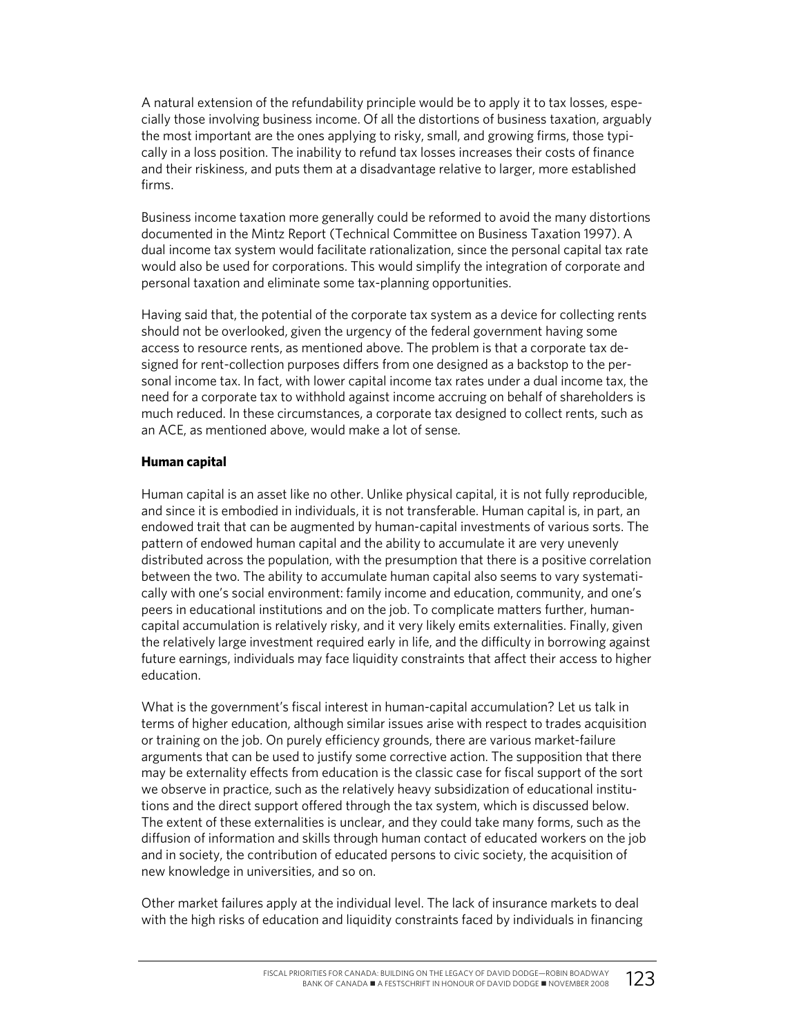A natural extension of the refundability principle would be to apply it to tax losses, especially those involving business income. Of all the distortions of business taxation, arguably the most important are the ones applying to risky, small, and growing firms, those typically in a loss position. The inability to refund tax losses increases their costs of finance and their riskiness, and puts them at a disadvantage relative to larger, more established firms.

Business income taxation more generally could be reformed to avoid the many distortions documented in the Mintz Report (Technical Committee on Business Taxation 1997). A dual income tax system would facilitate rationalization, since the personal capital tax rate would also be used for corporations. This would simplify the integration of corporate and personal taxation and eliminate some tax-planning opportunities.

Having said that, the potential of the corporate tax system as a device for collecting rents should not be overlooked, given the urgency of the federal government having some access to resource rents, as mentioned above. The problem is that a corporate tax designed for rent-collection purposes differs from one designed as a backstop to the personal income tax. In fact, with lower capital income tax rates under a dual income tax, the need for a corporate tax to withhold against income accruing on behalf of shareholders is much reduced. In these circumstances, a corporate tax designed to collect rents, such as an ACE, as mentioned above, would make a lot of sense.

### **Human capital**

Human capital is an asset like no other. Unlike physical capital, it is not fully reproducible, and since it is embodied in individuals, it is not transferable. Human capital is, in part, an endowed trait that can be augmented by human-capital investments of various sorts. The pattern of endowed human capital and the ability to accumulate it are very unevenly distributed across the population, with the presumption that there is a positive correlation between the two. The ability to accumulate human capital also seems to vary systematically with one's social environment: family income and education, community, and one's peers in educational institutions and on the job. To complicate matters further, humancapital accumulation is relatively risky, and it very likely emits externalities. Finally, given the relatively large investment required early in life, and the difficulty in borrowing against future earnings, individuals may face liquidity constraints that affect their access to higher education.

What is the government's fiscal interest in human-capital accumulation? Let us talk in terms of higher education, although similar issues arise with respect to trades acquisition or training on the job. On purely efficiency grounds, there are various market-failure arguments that can be used to justify some corrective action. The supposition that there may be externality effects from education is the classic case for fiscal support of the sort we observe in practice, such as the relatively heavy subsidization of educational institutions and the direct support offered through the tax system, which is discussed below. The extent of these externalities is unclear, and they could take many forms, such as the diffusion of information and skills through human contact of educated workers on the job and in society, the contribution of educated persons to civic society, the acquisition of new knowledge in universities, and so on.

Other market failures apply at the individual level. The lack of insurance markets to deal with the high risks of education and liquidity constraints faced by individuals in financing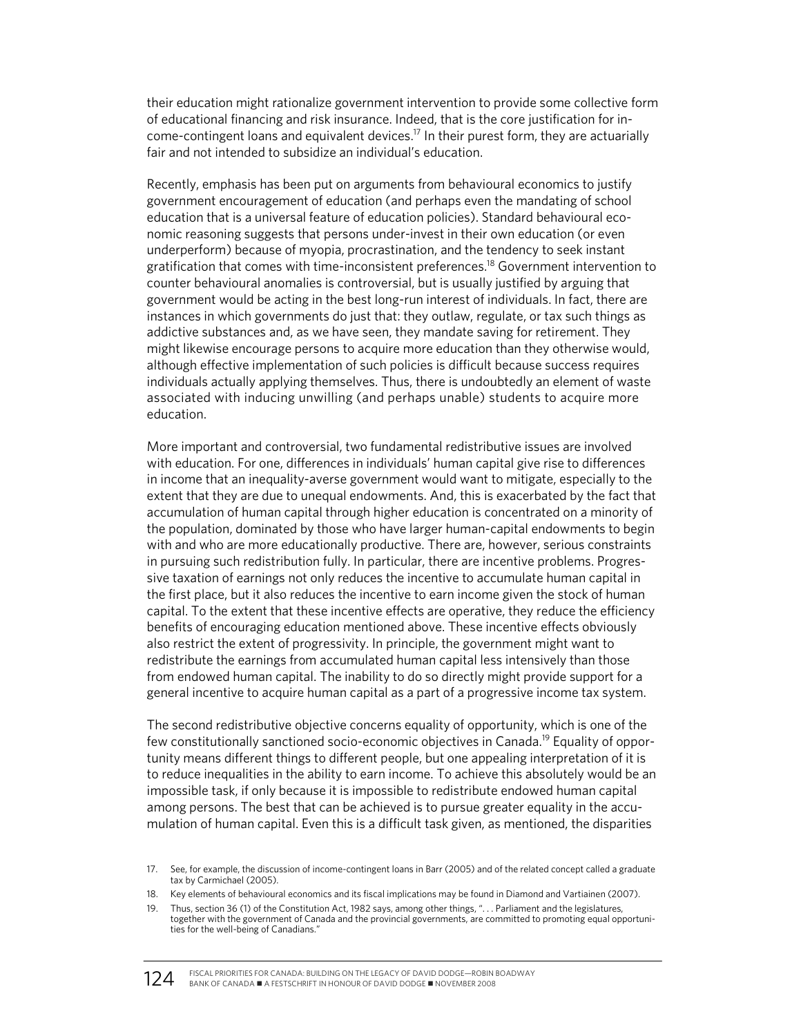their education might rationalize government intervention to provide some collective form of educational financing and risk insurance. Indeed, that is the core justification for income-contingent loans and equivalent devices.<sup>17</sup> In their purest form, they are actuarially fair and not intended to subsidize an individual's education.

Recently, emphasis has been put on arguments from behavioural economics to justify government encouragement of education (and perhaps even the mandating of school education that is a universal feature of education policies). Standard behavioural economic reasoning suggests that persons under-invest in their own education (or even underperform) because of myopia, procrastination, and the tendency to seek instant gratification that comes with time-inconsistent preferences.<sup>18</sup> Government intervention to counter behavioural anomalies is controversial, but is usually justified by arguing that government would be acting in the best long-run interest of individuals. In fact, there are instances in which governments do just that: they outlaw, regulate, or tax such things as addictive substances and, as we have seen, they mandate saving for retirement. They might likewise encourage persons to acquire more education than they otherwise would, although effective implementation of such policies is difficult because success requires individuals actually applying themselves. Thus, there is undoubtedly an element of waste associated with inducing unwilling (and perhaps unable) students to acquire more education.

More important and controversial, two fundamental redistributive issues are involved with education. For one, differences in individuals' human capital give rise to differences in income that an inequality-averse government would want to mitigate, especially to the extent that they are due to unequal endowments. And, this is exacerbated by the fact that accumulation of human capital through higher education is concentrated on a minority of the population, dominated by those who have larger human-capital endowments to begin with and who are more educationally productive. There are, however, serious constraints in pursuing such redistribution fully. In particular, there are incentive problems. Progressive taxation of earnings not only reduces the incentive to accumulate human capital in the first place, but it also reduces the incentive to earn income given the stock of human capital. To the extent that these incentive effects are operative, they reduce the efficiency benefits of encouraging education mentioned above. These incentive effects obviously also restrict the extent of progressivity. In principle, the government might want to redistribute the earnings from accumulated human capital less intensively than those from endowed human capital. The inability to do so directly might provide support for a general incentive to acquire human capital as a part of a progressive income tax system.

The second redistributive objective concerns equality of opportunity, which is one of the few constitutionally sanctioned socio-economic objectives in Canada.<sup>19</sup> Equality of opportunity means different things to different people, but one appealing interpretation of it is to reduce inequalities in the ability to earn income. To achieve this absolutely would be an impossible task, if only because it is impossible to redistribute endowed human capital among persons. The best that can be achieved is to pursue greater equality in the accumulation of human capital. Even this is a difficult task given, as mentioned, the disparities

<sup>17.</sup> See, for example, the discussion of income-contingent loans in Barr (2005) and of the related concept called a graduate tax by Carmichael (2005).

<sup>18.</sup> Key elements of behavioural economics and its fiscal implications may be found in Diamond and Vartiainen (2007).

<sup>19.</sup> Thus, section 36 (1) of the Constitution Act, 1982 says, among other things, ". . . Parliament and the legislatures, together with the government of Canada and the provincial governments, are committed to promoting equal opportunities for the well-being of Canadians."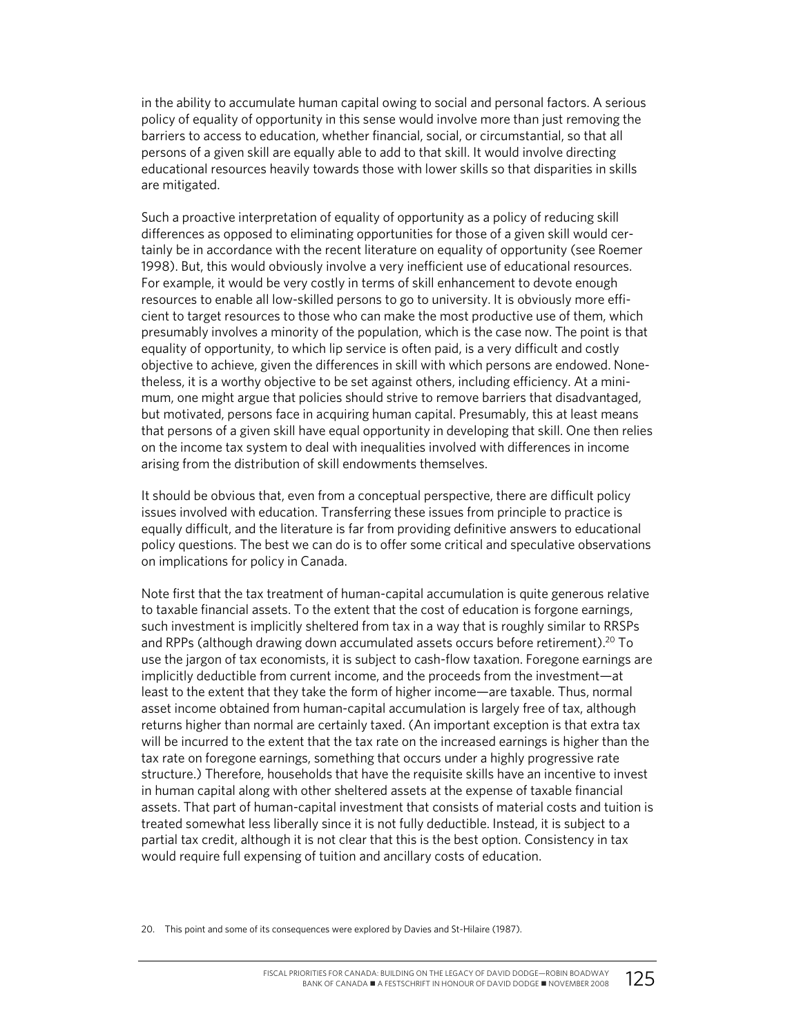in the ability to accumulate human capital owing to social and personal factors. A serious policy of equality of opportunity in this sense would involve more than just removing the barriers to access to education, whether financial, social, or circumstantial, so that all persons of a given skill are equally able to add to that skill. It would involve directing educational resources heavily towards those with lower skills so that disparities in skills are mitigated.

Such a proactive interpretation of equality of opportunity as a policy of reducing skill differences as opposed to eliminating opportunities for those of a given skill would certainly be in accordance with the recent literature on equality of opportunity (see Roemer 1998). But, this would obviously involve a very inefficient use of educational resources. For example, it would be very costly in terms of skill enhancement to devote enough resources to enable all low-skilled persons to go to university. It is obviously more efficient to target resources to those who can make the most productive use of them, which presumably involves a minority of the population, which is the case now. The point is that equality of opportunity, to which lip service is often paid, is a very difficult and costly objective to achieve, given the differences in skill with which persons are endowed. Nonetheless, it is a worthy objective to be set against others, including efficiency. At a minimum, one might argue that policies should strive to remove barriers that disadvantaged, but motivated, persons face in acquiring human capital. Presumably, this at least means that persons of a given skill have equal opportunity in developing that skill. One then relies on the income tax system to deal with inequalities involved with differences in income arising from the distribution of skill endowments themselves.

It should be obvious that, even from a conceptual perspective, there are difficult policy issues involved with education. Transferring these issues from principle to practice is equally difficult, and the literature is far from providing definitive answers to educational policy questions. The best we can do is to offer some critical and speculative observations on implications for policy in Canada.

Note first that the tax treatment of human-capital accumulation is quite generous relative to taxable financial assets. To the extent that the cost of education is forgone earnings, such investment is implicitly sheltered from tax in a way that is roughly similar to RRSPs and RPPs (although drawing down accumulated assets occurs before retirement).<sup>20</sup> To use the jargon of tax economists, it is subject to cash-flow taxation. Foregone earnings are implicitly deductible from current income, and the proceeds from the investment—at least to the extent that they take the form of higher income—are taxable. Thus, normal asset income obtained from human-capital accumulation is largely free of tax, although returns higher than normal are certainly taxed. (An important exception is that extra tax will be incurred to the extent that the tax rate on the increased earnings is higher than the tax rate on foregone earnings, something that occurs under a highly progressive rate structure.) Therefore, households that have the requisite skills have an incentive to invest in human capital along with other sheltered assets at the expense of taxable financial assets. That part of human-capital investment that consists of material costs and tuition is treated somewhat less liberally since it is not fully deductible. Instead, it is subject to a partial tax credit, although it is not clear that this is the best option. Consistency in tax would require full expensing of tuition and ancillary costs of education.

20. This point and some of its consequences were explored by Davies and St-Hilaire (1987).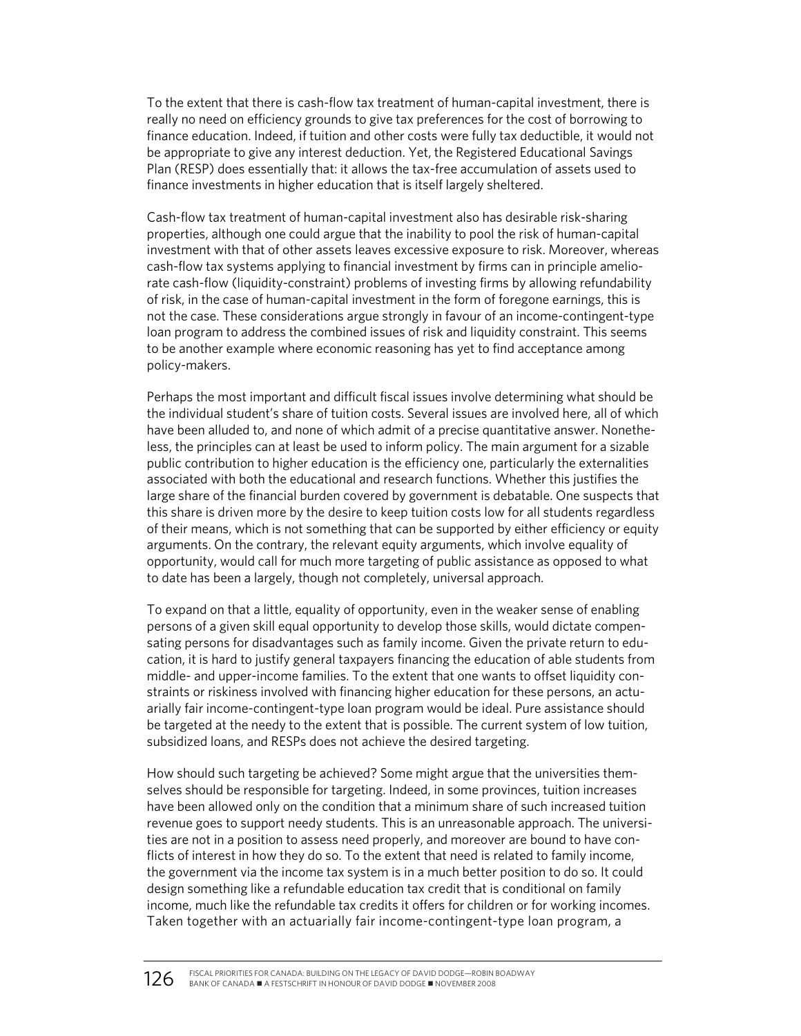To the extent that there is cash-flow tax treatment of human-capital investment, there is really no need on efficiency grounds to give tax preferences for the cost of borrowing to finance education. Indeed, if tuition and other costs were fully tax deductible, it would not be appropriate to give any interest deduction. Yet, the Registered Educational Savings Plan (RESP) does essentially that: it allows the tax-free accumulation of assets used to finance investments in higher education that is itself largely sheltered.

Cash-flow tax treatment of human-capital investment also has desirable risk-sharing properties, although one could argue that the inability to pool the risk of human-capital investment with that of other assets leaves excessive exposure to risk. Moreover, whereas cash-flow tax systems applying to financial investment by firms can in principle ameliorate cash-flow (liquidity-constraint) problems of investing firms by allowing refundability of risk, in the case of human-capital investment in the form of foregone earnings, this is not the case. These considerations argue strongly in favour of an income-contingent-type loan program to address the combined issues of risk and liquidity constraint. This seems to be another example where economic reasoning has yet to find acceptance among policy-makers.

Perhaps the most important and difficult fiscal issues involve determining what should be the individual student's share of tuition costs. Several issues are involved here, all of which have been alluded to, and none of which admit of a precise quantitative answer. Nonetheless, the principles can at least be used to inform policy. The main argument for a sizable public contribution to higher education is the efficiency one, particularly the externalities associated with both the educational and research functions. Whether this justifies the large share of the financial burden covered by government is debatable. One suspects that this share is driven more by the desire to keep tuition costs low for all students regardless of their means, which is not something that can be supported by either efficiency or equity arguments. On the contrary, the relevant equity arguments, which involve equality of opportunity, would call for much more targeting of public assistance as opposed to what to date has been a largely, though not completely, universal approach.

To expand on that a little, equality of opportunity, even in the weaker sense of enabling persons of a given skill equal opportunity to develop those skills, would dictate compensating persons for disadvantages such as family income. Given the private return to education, it is hard to justify general taxpayers financing the education of able students from middle- and upper-income families. To the extent that one wants to offset liquidity constraints or riskiness involved with financing higher education for these persons, an actuarially fair income-contingent-type loan program would be ideal. Pure assistance should be targeted at the needy to the extent that is possible. The current system of low tuition, subsidized loans, and RESPs does not achieve the desired targeting.

How should such targeting be achieved? Some might argue that the universities themselves should be responsible for targeting. Indeed, in some provinces, tuition increases have been allowed only on the condition that a minimum share of such increased tuition revenue goes to support needy students. This is an unreasonable approach. The universities are not in a position to assess need properly, and moreover are bound to have conflicts of interest in how they do so. To the extent that need is related to family income, the government via the income tax system is in a much better position to do so. It could design something like a refundable education tax credit that is conditional on family income, much like the refundable tax credits it offers for children or for working incomes. Taken together with an actuarially fair income-contingent-type loan program, a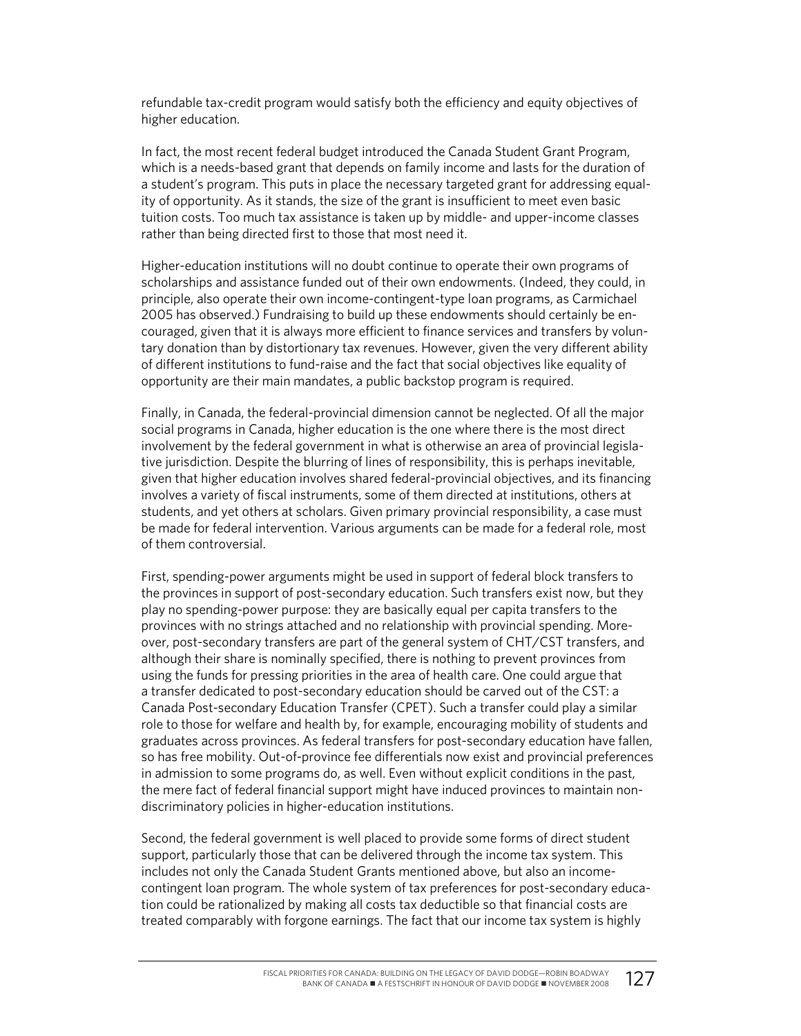refundable tax-credit program would satisfy both the efficiency and equity objectives of higher education.

In fact, the most recent federal budget introduced the Canada Student Grant Program, which is a needs-based grant that depends on family income and lasts for the duration of a student's program. This puts in place the necessary targeted grant for addressing equality of opportunity. As it stands, the size of the grant is insufficient to meet even basic tuition costs. Too much tax assistance is taken up by middle- and upper-income classes rather than being directed first to those that most need it.

Higher-education institutions will no doubt continue to operate their own programs of scholarships and assistance funded out of their own endowments. (Indeed, they could, in principle, also operate their own income-contingent-type loan programs, as Carmichael 2005 has observed.) Fundraising to build up these endowments should certainly be encouraged, given that it is always more efficient to finance services and transfers by voluntary donation than by distortionary tax revenues. However, given the very different ability of different institutions to fund-raise and the fact that social objectives like equality of opportunity are their main mandates, a public backstop program is required.

Finally, in Canada, the federal-provincial dimension cannot be neglected. Of all the major social programs in Canada, higher education is the one where there is the most direct involvement by the federal government in what is otherwise an area of provincial legislative jurisdiction. Despite the blurring of lines of responsibility, this is perhaps inevitable, given that higher education involves shared federal-provincial objectives, and its financing involves a variety of fiscal instruments, some of them directed at institutions, others at students, and yet others at scholars. Given primary provincial responsibility, a case must be made for federal intervention. Various arguments can be made for a federal role, most of them controversial.

First, spending-power arguments might be used in support of federal block transfers to the provinces in support of post-secondary education. Such transfers exist now, but they play no spending-power purpose: they are basically equal per capita transfers to the provinces with no strings attached and no relationship with provincial spending. Moreover, post-secondary transfers are part of the general system of CHT/CST transfers, and although their share is nominally specified, there is nothing to prevent provinces from using the funds for pressing priorities in the area of health care. One could argue that a transfer dedicated to post-secondary education should be carved out of the CST: a Canada Post-secondary Education Transfer (CPET). Such a transfer could play a similar role to those for welfare and health by, for example, encouraging mobility of students and graduates across provinces. As federal transfers for post-secondary education have fallen, so has free mobility. Out-of-province fee differentials now exist and provincial preferences in admission to some programs do, as well. Even without explicit conditions in the past, the mere fact of federal financial support might have induced provinces to maintain nondiscriminatory policies in higher-education institutions.

Second, the federal government is well placed to provide some forms of direct student support, particularly those that can be delivered through the income tax system. This includes not only the Canada Student Grants mentioned above, but also an incomecontingent loan program. The whole system of tax preferences for post-secondary education could be rationalized by making all costs tax deductible so that financial costs are treated comparably with forgone earnings. The fact that our income tax system is highly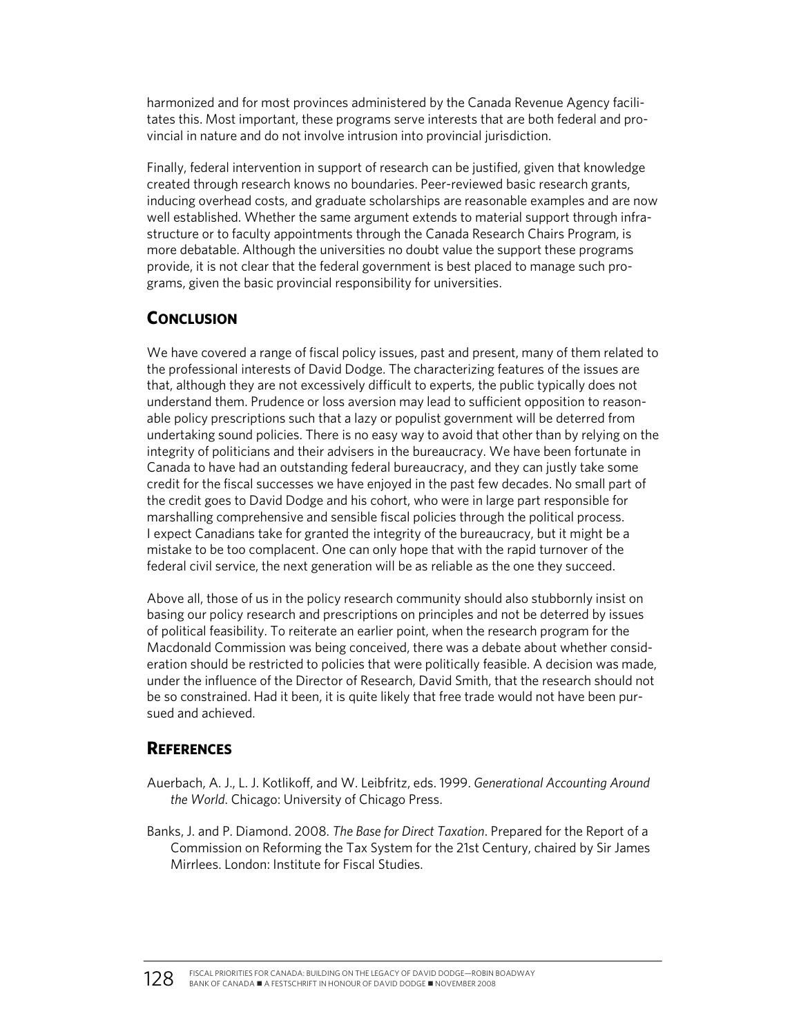harmonized and for most provinces administered by the Canada Revenue Agency facilitates this. Most important, these programs serve interests that are both federal and provincial in nature and do not involve intrusion into provincial jurisdiction.

Finally, federal intervention in support of research can be justified, given that knowledge created through research knows no boundaries. Peer-reviewed basic research grants, inducing overhead costs, and graduate scholarships are reasonable examples and are now well established. Whether the same argument extends to material support through infrastructure or to faculty appointments through the Canada Research Chairs Program, is more debatable. Although the universities no doubt value the support these programs provide, it is not clear that the federal government is best placed to manage such programs, given the basic provincial responsibility for universities.

## **CONCLUSION**

We have covered a range of fiscal policy issues, past and present, many of them related to the professional interests of David Dodge. The characterizing features of the issues are that, although they are not excessively difficult to experts, the public typically does not understand them. Prudence or loss aversion may lead to sufficient opposition to reasonable policy prescriptions such that a lazy or populist government will be deterred from undertaking sound policies. There is no easy way to avoid that other than by relying on the integrity of politicians and their advisers in the bureaucracy. We have been fortunate in Canada to have had an outstanding federal bureaucracy, and they can justly take some credit for the fiscal successes we have enjoyed in the past few decades. No small part of the credit goes to David Dodge and his cohort, who were in large part responsible for marshalling comprehensive and sensible fiscal policies through the political process. I expect Canadians take for granted the integrity of the bureaucracy, but it might be a mistake to be too complacent. One can only hope that with the rapid turnover of the federal civil service, the next generation will be as reliable as the one they succeed.

Above all, those of us in the policy research community should also stubbornly insist on basing our policy research and prescriptions on principles and not be deterred by issues of political feasibility. To reiterate an earlier point, when the research program for the Macdonald Commission was being conceived, there was a debate about whether consideration should be restricted to policies that were politically feasible. A decision was made, under the influence of the Director of Research, David Smith, that the research should not be so constrained. Had it been, it is quite likely that free trade would not have been pursued and achieved.

### **REFERENCES**

- Auerbach, A. J., L. J. Kotlikoff, and W. Leibfritz, eds. 1999. *Generational Accounting Around the World*. Chicago: University of Chicago Press.
- Banks, J. and P. Diamond. 2008. *The Base for Direct Taxation*. Prepared for the Report of a Commission on Reforming the Tax System for the 21st Century, chaired by Sir James Mirrlees. London: Institute for Fiscal Studies.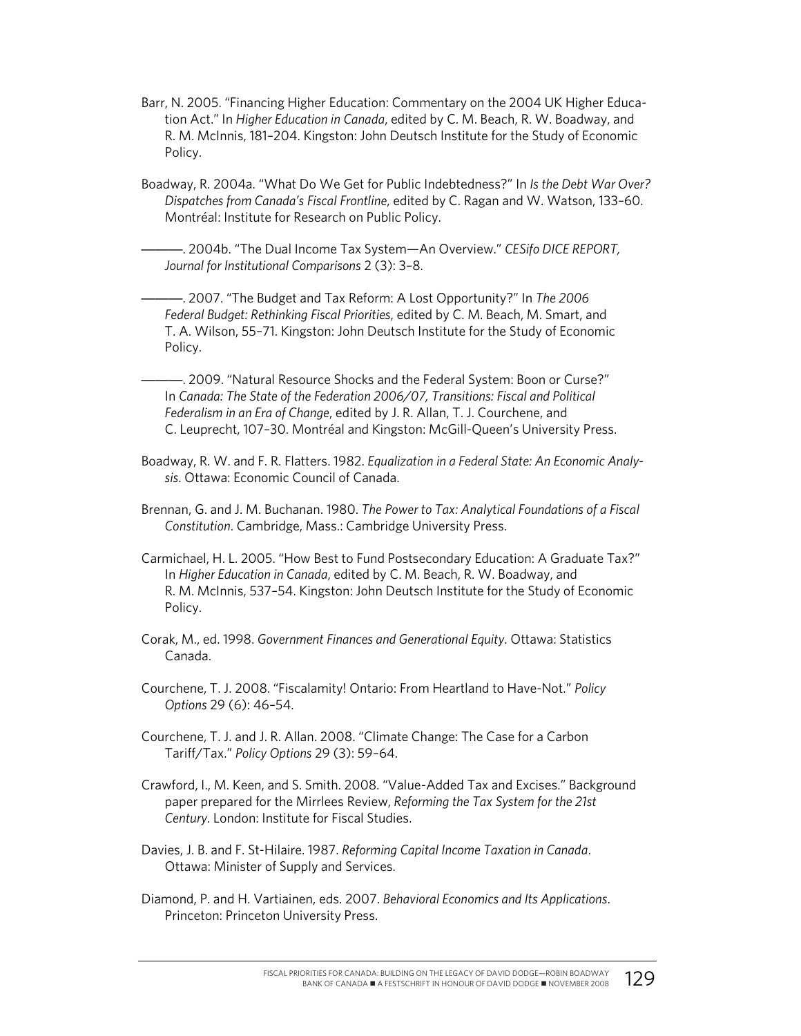- Barr, N. 2005. "Financing Higher Education: Commentary on the 2004 UK Higher Education Act." In *Higher Education in Canada*, edited by C. M. Beach, R. W. Boadway, and R. M. McInnis, 181–204. Kingston: John Deutsch Institute for the Study of Economic Policy.
- Boadway, R. 2004a. "What Do We Get for Public Indebtedness?" In *Is the Debt War Over? Dispatches from Canada's Fiscal Frontline*, edited by C. Ragan and W. Watson, 133–60. Montréal: Institute for Research on Public Policy.

———. 2004b. "The Dual Income Tax System—An Overview." *CESifo DICE REPORT, Journal for Institutional Comparisons* 2 (3): 3–8.

———. 2007. "The Budget and Tax Reform: A Lost Opportunity?" In *The 2006 Federal Budget: Rethinking Fiscal Priorities*, edited by C. M. Beach, M. Smart, and T. A. Wilson, 55–71. Kingston: John Deutsch Institute for the Study of Economic Policy.

-. 2009. "Natural Resource Shocks and the Federal System: Boon or Curse?" In *Canada: The State of the Federation 2006/07, Transitions: Fiscal and Political Federalism in an Era of Change*, edited by J. R. Allan, T. J. Courchene, and C. Leuprecht, 107–30. Montréal and Kingston: McGill-Queen's University Press.

Boadway, R. W. and F. R. Flatters. 1982. *Equalization in a Federal State: An Economic Analysis*. Ottawa: Economic Council of Canada.

Brennan, G. and J. M. Buchanan. 1980. *The Power to Tax: Analytical Foundations of a Fiscal Constitution*. Cambridge, Mass.: Cambridge University Press.

Carmichael, H. L. 2005. "How Best to Fund Postsecondary Education: A Graduate Tax?" In *Higher Education in Canada*, edited by C. M. Beach, R. W. Boadway, and R. M. McInnis, 537–54. Kingston: John Deutsch Institute for the Study of Economic Policy.

- Corak, M., ed. 1998. *Government Finances and Generational Equity*. Ottawa: Statistics Canada.
- Courchene, T. J. 2008. "Fiscalamity! Ontario: From Heartland to Have-Not." *Policy Options* 29 (6): 46–54.
- Courchene, T. J. and J. R. Allan. 2008. "Climate Change: The Case for a Carbon Tariff/Tax." *Policy Options* 29 (3): 59–64.
- Crawford, I., M. Keen, and S. Smith. 2008. "Value-Added Tax and Excises." Background paper prepared for the Mirrlees Review, *Reforming the Tax System for the 21st Century*. London: Institute for Fiscal Studies.
- Davies, J. B. and F. St-Hilaire. 1987. *Reforming Capital Income Taxation in Canada*. Ottawa: Minister of Supply and Services.
- Diamond, P. and H. Vartiainen, eds. 2007. *Behavioral Economics and Its Applications*. Princeton: Princeton University Press.